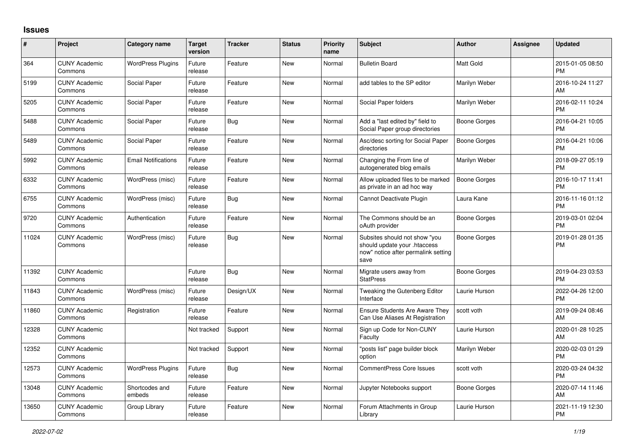## **Issues**

| #     | Project                         | <b>Category name</b>       | <b>Target</b><br>version | <b>Tracker</b> | <b>Status</b> | Priority<br>name | <b>Subject</b>                                                                                               | <b>Author</b>       | <b>Assignee</b> | <b>Updated</b>                |
|-------|---------------------------------|----------------------------|--------------------------|----------------|---------------|------------------|--------------------------------------------------------------------------------------------------------------|---------------------|-----------------|-------------------------------|
| 364   | <b>CUNY Academic</b><br>Commons | <b>WordPress Plugins</b>   | Future<br>release        | Feature        | <b>New</b>    | Normal           | <b>Bulletin Board</b>                                                                                        | Matt Gold           |                 | 2015-01-05 08:50<br><b>PM</b> |
| 5199  | <b>CUNY Academic</b><br>Commons | Social Paper               | Future<br>release        | Feature        | New           | Normal           | add tables to the SP editor                                                                                  | Marilyn Weber       |                 | 2016-10-24 11:27<br>AM        |
| 5205  | <b>CUNY Academic</b><br>Commons | Social Paper               | Future<br>release        | Feature        | <b>New</b>    | Normal           | Social Paper folders                                                                                         | Marilyn Weber       |                 | 2016-02-11 10:24<br><b>PM</b> |
| 5488  | <b>CUNY Academic</b><br>Commons | Social Paper               | Future<br>release        | Bug            | <b>New</b>    | Normal           | Add a "last edited by" field to<br>Social Paper group directories                                            | Boone Gorges        |                 | 2016-04-21 10:05<br><b>PM</b> |
| 5489  | <b>CUNY Academic</b><br>Commons | Social Paper               | Future<br>release        | Feature        | New           | Normal           | Asc/desc sorting for Social Paper<br>directories                                                             | Boone Gorges        |                 | 2016-04-21 10:06<br><b>PM</b> |
| 5992  | <b>CUNY Academic</b><br>Commons | <b>Email Notifications</b> | Future<br>release        | Feature        | New           | Normal           | Changing the From line of<br>autogenerated blog emails                                                       | Marilyn Weber       |                 | 2018-09-27 05:19<br><b>PM</b> |
| 6332  | <b>CUNY Academic</b><br>Commons | WordPress (misc)           | Future<br>release        | Feature        | <b>New</b>    | Normal           | Allow uploaded files to be marked<br>as private in an ad hoc way                                             | Boone Gorges        |                 | 2016-10-17 11:41<br><b>PM</b> |
| 6755  | <b>CUNY Academic</b><br>Commons | WordPress (misc)           | Future<br>release        | Bug            | <b>New</b>    | Normal           | Cannot Deactivate Plugin                                                                                     | Laura Kane          |                 | 2016-11-16 01:12<br><b>PM</b> |
| 9720  | <b>CUNY Academic</b><br>Commons | Authentication             | Future<br>release        | Feature        | <b>New</b>    | Normal           | The Commons should be an<br>oAuth provider                                                                   | Boone Gorges        |                 | 2019-03-01 02:04<br><b>PM</b> |
| 11024 | <b>CUNY Academic</b><br>Commons | WordPress (misc)           | Future<br>release        | <b>Bug</b>     | New           | Normal           | Subsites should not show "you<br>should update your .htaccess<br>now" notice after permalink setting<br>save | Boone Gorges        |                 | 2019-01-28 01:35<br><b>PM</b> |
| 11392 | <b>CUNY Academic</b><br>Commons |                            | Future<br>release        | Bug            | <b>New</b>    | Normal           | Migrate users away from<br><b>StatPress</b>                                                                  | <b>Boone Gorges</b> |                 | 2019-04-23 03:53<br><b>PM</b> |
| 11843 | <b>CUNY Academic</b><br>Commons | WordPress (misc)           | Future<br>release        | Design/UX      | New           | Normal           | Tweaking the Gutenberg Editor<br>Interface                                                                   | Laurie Hurson       |                 | 2022-04-26 12:00<br><b>PM</b> |
| 11860 | <b>CUNY Academic</b><br>Commons | Registration               | Future<br>release        | Feature        | New           | Normal           | <b>Ensure Students Are Aware They</b><br>Can Use Aliases At Registration                                     | scott voth          |                 | 2019-09-24 08:46<br>AM        |
| 12328 | <b>CUNY Academic</b><br>Commons |                            | Not tracked              | Support        | <b>New</b>    | Normal           | Sign up Code for Non-CUNY<br>Faculty                                                                         | Laurie Hurson       |                 | 2020-01-28 10:25<br><b>AM</b> |
| 12352 | <b>CUNY Academic</b><br>Commons |                            | Not tracked              | Support        | <b>New</b>    | Normal           | "posts list" page builder block<br>option                                                                    | Marilyn Weber       |                 | 2020-02-03 01:29<br><b>PM</b> |
| 12573 | <b>CUNY Academic</b><br>Commons | <b>WordPress Plugins</b>   | Future<br>release        | Bug            | <b>New</b>    | Normal           | <b>CommentPress Core Issues</b>                                                                              | scott voth          |                 | 2020-03-24 04:32<br><b>PM</b> |
| 13048 | <b>CUNY Academic</b><br>Commons | Shortcodes and<br>embeds   | Future<br>release        | Feature        | New           | Normal           | Jupyter Notebooks support                                                                                    | Boone Gorges        |                 | 2020-07-14 11:46<br>AM        |
| 13650 | <b>CUNY Academic</b><br>Commons | Group Library              | Future<br>release        | Feature        | New           | Normal           | Forum Attachments in Group<br>Library                                                                        | Laurie Hurson       |                 | 2021-11-19 12:30<br><b>PM</b> |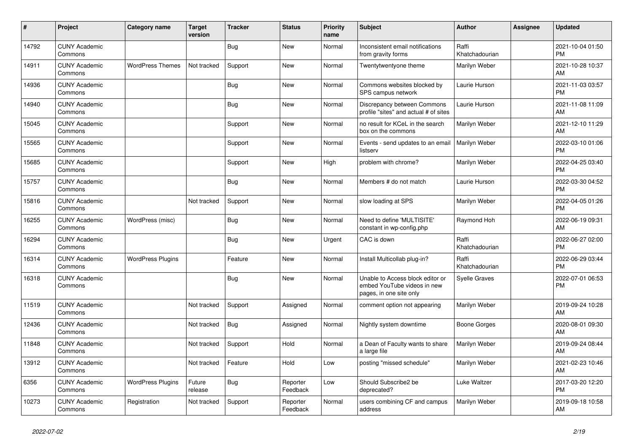| ∦     | Project                         | Category name            | <b>Target</b><br>version | <b>Tracker</b> | <b>Status</b>        | <b>Priority</b><br>name | <b>Subject</b>                                                                             | <b>Author</b>           | <b>Assignee</b> | <b>Updated</b>                |
|-------|---------------------------------|--------------------------|--------------------------|----------------|----------------------|-------------------------|--------------------------------------------------------------------------------------------|-------------------------|-----------------|-------------------------------|
| 14792 | <b>CUNY Academic</b><br>Commons |                          |                          | Bug            | New                  | Normal                  | Inconsistent email notifications<br>from gravity forms                                     | Raffi<br>Khatchadourian |                 | 2021-10-04 01:50<br><b>PM</b> |
| 14911 | <b>CUNY Academic</b><br>Commons | <b>WordPress Themes</b>  | Not tracked              | Support        | <b>New</b>           | Normal                  | Twentytwentyone theme                                                                      | Marilyn Weber           |                 | 2021-10-28 10:37<br>AM        |
| 14936 | <b>CUNY Academic</b><br>Commons |                          |                          | Bug            | <b>New</b>           | Normal                  | Commons websites blocked by<br>SPS campus network                                          | Laurie Hurson           |                 | 2021-11-03 03:57<br><b>PM</b> |
| 14940 | <b>CUNY Academic</b><br>Commons |                          |                          | <b>Bug</b>     | <b>New</b>           | Normal                  | Discrepancy between Commons<br>profile "sites" and actual # of sites                       | Laurie Hurson           |                 | 2021-11-08 11:09<br>AM        |
| 15045 | <b>CUNY Academic</b><br>Commons |                          |                          | Support        | <b>New</b>           | Normal                  | no result for KCeL in the search<br>box on the commons                                     | Marilyn Weber           |                 | 2021-12-10 11:29<br>AM        |
| 15565 | <b>CUNY Academic</b><br>Commons |                          |                          | Support        | New                  | Normal                  | Events - send updates to an email<br>listserv                                              | Marilyn Weber           |                 | 2022-03-10 01:06<br><b>PM</b> |
| 15685 | <b>CUNY Academic</b><br>Commons |                          |                          | Support        | <b>New</b>           | High                    | problem with chrome?                                                                       | Marilyn Weber           |                 | 2022-04-25 03:40<br><b>PM</b> |
| 15757 | <b>CUNY Academic</b><br>Commons |                          |                          | Bug            | <b>New</b>           | Normal                  | Members # do not match                                                                     | Laurie Hurson           |                 | 2022-03-30 04:52<br><b>PM</b> |
| 15816 | <b>CUNY Academic</b><br>Commons |                          | Not tracked              | Support        | <b>New</b>           | Normal                  | slow loading at SPS                                                                        | Marilyn Weber           |                 | 2022-04-05 01:26<br><b>PM</b> |
| 16255 | <b>CUNY Academic</b><br>Commons | WordPress (misc)         |                          | <b>Bug</b>     | <b>New</b>           | Normal                  | Need to define 'MULTISITE'<br>constant in wp-config.php                                    | Raymond Hoh             |                 | 2022-06-19 09:31<br>AM        |
| 16294 | <b>CUNY Academic</b><br>Commons |                          |                          | Bug            | <b>New</b>           | Urgent                  | CAC is down                                                                                | Raffi<br>Khatchadourian |                 | 2022-06-27 02:00<br><b>PM</b> |
| 16314 | <b>CUNY Academic</b><br>Commons | <b>WordPress Plugins</b> |                          | Feature        | <b>New</b>           | Normal                  | Install Multicollab plug-in?                                                               | Raffi<br>Khatchadourian |                 | 2022-06-29 03:44<br><b>PM</b> |
| 16318 | <b>CUNY Academic</b><br>Commons |                          |                          | <b>Bug</b>     | <b>New</b>           | Normal                  | Unable to Access block editor or<br>embed YouTube videos in new<br>pages, in one site only | <b>Syelle Graves</b>    |                 | 2022-07-01 06:53<br><b>PM</b> |
| 11519 | <b>CUNY Academic</b><br>Commons |                          | Not tracked              | Support        | Assigned             | Normal                  | comment option not appearing                                                               | Marilyn Weber           |                 | 2019-09-24 10:28<br>AM        |
| 12436 | <b>CUNY Academic</b><br>Commons |                          | Not tracked              | Bug            | Assigned             | Normal                  | Nightly system downtime                                                                    | Boone Gorges            |                 | 2020-08-01 09:30<br>AM        |
| 11848 | <b>CUNY Academic</b><br>Commons |                          | Not tracked              | Support        | Hold                 | Normal                  | a Dean of Faculty wants to share<br>a large file                                           | Marilyn Weber           |                 | 2019-09-24 08:44<br>AM        |
| 13912 | <b>CUNY Academic</b><br>Commons |                          | Not tracked              | Feature        | Hold                 | Low                     | posting "missed schedule"                                                                  | Marilyn Weber           |                 | 2021-02-23 10:46<br>AM        |
| 6356  | <b>CUNY Academic</b><br>Commons | <b>WordPress Plugins</b> | Future<br>release        | Bug            | Reporter<br>Feedback | Low                     | Should Subscribe2 be<br>deprecated?                                                        | Luke Waltzer            |                 | 2017-03-20 12:20<br><b>PM</b> |
| 10273 | <b>CUNY Academic</b><br>Commons | Registration             | Not tracked              | Support        | Reporter<br>Feedback | Normal                  | users combining CF and campus<br>address                                                   | Marilyn Weber           |                 | 2019-09-18 10:58<br>AM        |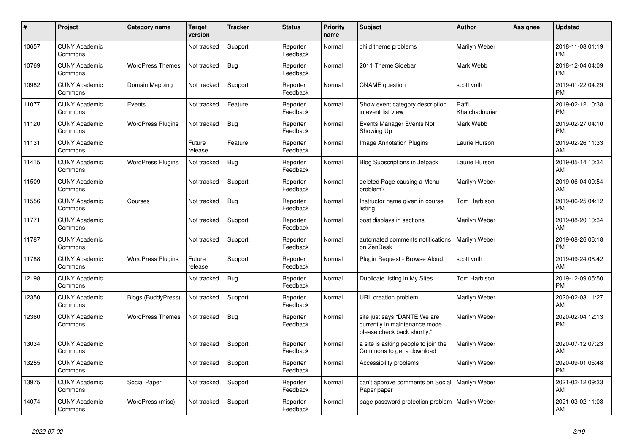| #     | Project                         | <b>Category name</b>      | <b>Target</b><br>version | <b>Tracker</b> | <b>Status</b>        | <b>Priority</b><br>name | <b>Subject</b>                                                                                | <b>Author</b>           | <b>Assignee</b> | <b>Updated</b>                |
|-------|---------------------------------|---------------------------|--------------------------|----------------|----------------------|-------------------------|-----------------------------------------------------------------------------------------------|-------------------------|-----------------|-------------------------------|
| 10657 | <b>CUNY Academic</b><br>Commons |                           | Not tracked              | Support        | Reporter<br>Feedback | Normal                  | child theme problems                                                                          | Marilyn Weber           |                 | 2018-11-08 01:19<br><b>PM</b> |
| 10769 | <b>CUNY Academic</b><br>Commons | <b>WordPress Themes</b>   | Not tracked              | <b>Bug</b>     | Reporter<br>Feedback | Normal                  | 2011 Theme Sidebar                                                                            | Mark Webb               |                 | 2018-12-04 04:09<br><b>PM</b> |
| 10982 | <b>CUNY Academic</b><br>Commons | Domain Mapping            | Not tracked              | Support        | Reporter<br>Feedback | Normal                  | <b>CNAME</b> question                                                                         | scott voth              |                 | 2019-01-22 04:29<br><b>PM</b> |
| 11077 | <b>CUNY Academic</b><br>Commons | Events                    | Not tracked              | Feature        | Reporter<br>Feedback | Normal                  | Show event category description<br>in event list view                                         | Raffi<br>Khatchadourian |                 | 2019-02-12 10:38<br><b>PM</b> |
| 11120 | <b>CUNY Academic</b><br>Commons | <b>WordPress Plugins</b>  | Not tracked              | <b>Bug</b>     | Reporter<br>Feedback | Normal                  | Events Manager Events Not<br>Showing Up                                                       | Mark Webb               |                 | 2019-02-27 04:10<br><b>PM</b> |
| 11131 | <b>CUNY Academic</b><br>Commons |                           | Future<br>release        | Feature        | Reporter<br>Feedback | Normal                  | <b>Image Annotation Plugins</b>                                                               | Laurie Hurson           |                 | 2019-02-26 11:33<br>AM        |
| 11415 | <b>CUNY Academic</b><br>Commons | <b>WordPress Plugins</b>  | Not tracked              | Bug            | Reporter<br>Feedback | Normal                  | <b>Blog Subscriptions in Jetpack</b>                                                          | Laurie Hurson           |                 | 2019-05-14 10:34<br>AM        |
| 11509 | <b>CUNY Academic</b><br>Commons |                           | Not tracked              | Support        | Reporter<br>Feedback | Normal                  | deleted Page causing a Menu<br>problem?                                                       | Marilyn Weber           |                 | 2019-06-04 09:54<br>AM        |
| 11556 | <b>CUNY Academic</b><br>Commons | Courses                   | Not tracked              | Bug            | Reporter<br>Feedback | Normal                  | Instructor name given in course<br>listing                                                    | Tom Harbison            |                 | 2019-06-25 04:12<br><b>PM</b> |
| 11771 | <b>CUNY Academic</b><br>Commons |                           | Not tracked              | Support        | Reporter<br>Feedback | Normal                  | post displays in sections                                                                     | Marilyn Weber           |                 | 2019-08-20 10:34<br>AM        |
| 11787 | <b>CUNY Academic</b><br>Commons |                           | Not tracked              | Support        | Reporter<br>Feedback | Normal                  | automated comments notifications<br>on ZenDesk                                                | Marilyn Weber           |                 | 2019-08-26 06:18<br><b>PM</b> |
| 11788 | <b>CUNY Academic</b><br>Commons | <b>WordPress Plugins</b>  | Future<br>release        | Support        | Reporter<br>Feedback | Normal                  | Plugin Request - Browse Aloud                                                                 | scott voth              |                 | 2019-09-24 08:42<br>AM        |
| 12198 | <b>CUNY Academic</b><br>Commons |                           | Not tracked              | <b>Bug</b>     | Reporter<br>Feedback | Normal                  | Duplicate listing in My Sites                                                                 | Tom Harbison            |                 | 2019-12-09 05:50<br><b>PM</b> |
| 12350 | <b>CUNY Academic</b><br>Commons | <b>Blogs (BuddyPress)</b> | Not tracked              | Support        | Reporter<br>Feedback | Normal                  | URL creation problem                                                                          | Marilyn Weber           |                 | 2020-02-03 11:27<br>AM        |
| 12360 | <b>CUNY Academic</b><br>Commons | <b>WordPress Themes</b>   | Not tracked              | Bug            | Reporter<br>Feedback | Normal                  | site just says "DANTE We are<br>currently in maintenance mode,<br>please check back shortly." | Marilyn Weber           |                 | 2020-02-04 12:13<br><b>PM</b> |
| 13034 | <b>CUNY Academic</b><br>Commons |                           | Not tracked              | Support        | Reporter<br>Feedback | Normal                  | a site is asking people to join the<br>Commons to get a download                              | Marilyn Weber           |                 | 2020-07-12 07:23<br>AM        |
| 13255 | <b>CUNY Academic</b><br>Commons |                           | Not tracked              | Support        | Reporter<br>Feedback | Normal                  | Accessibility problems                                                                        | Marilyn Weber           |                 | 2020-09-01 05:48<br><b>PM</b> |
| 13975 | <b>CUNY Academic</b><br>Commons | Social Paper              | Not tracked              | Support        | Reporter<br>Feedback | Normal                  | can't approve comments on Social<br>Paper paper                                               | Marilyn Weber           |                 | 2021-02-12 09:33<br>AM        |
| 14074 | <b>CUNY Academic</b><br>Commons | WordPress (misc)          | Not tracked              | Support        | Reporter<br>Feedback | Normal                  | page password protection problem                                                              | Marilyn Weber           |                 | 2021-03-02 11:03<br>AM        |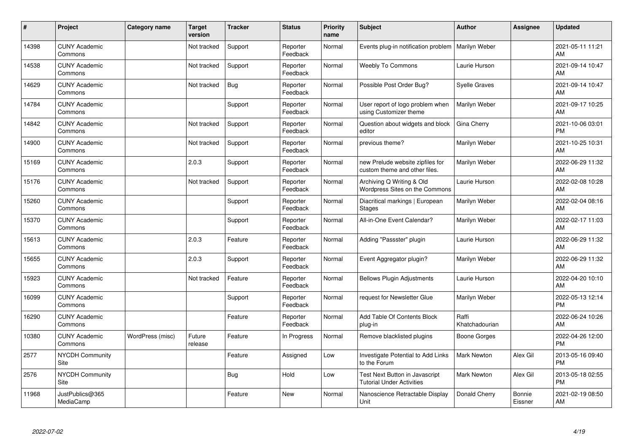| #     | Project                         | <b>Category name</b> | <b>Target</b><br>version | <b>Tracker</b> | <b>Status</b>        | <b>Priority</b><br>name | <b>Subject</b>                                                     | <b>Author</b>           | <b>Assignee</b>          | <b>Updated</b>                |
|-------|---------------------------------|----------------------|--------------------------|----------------|----------------------|-------------------------|--------------------------------------------------------------------|-------------------------|--------------------------|-------------------------------|
| 14398 | <b>CUNY Academic</b><br>Commons |                      | Not tracked              | Support        | Reporter<br>Feedback | Normal                  | Events plug-in notification problem                                | <b>Marilyn Weber</b>    |                          | 2021-05-11 11:21<br>AM        |
| 14538 | <b>CUNY Academic</b><br>Commons |                      | Not tracked              | Support        | Reporter<br>Feedback | Normal                  | <b>Weebly To Commons</b>                                           | Laurie Hurson           |                          | 2021-09-14 10:47<br>AM        |
| 14629 | <b>CUNY Academic</b><br>Commons |                      | Not tracked              | <b>Bug</b>     | Reporter<br>Feedback | Normal                  | Possible Post Order Bug?                                           | Syelle Graves           |                          | 2021-09-14 10:47<br>AM        |
| 14784 | <b>CUNY Academic</b><br>Commons |                      |                          | Support        | Reporter<br>Feedback | Normal                  | User report of logo problem when<br>using Customizer theme         | Marilyn Weber           |                          | 2021-09-17 10:25<br>AM        |
| 14842 | <b>CUNY Academic</b><br>Commons |                      | Not tracked              | Support        | Reporter<br>Feedback | Normal                  | Question about widgets and block<br>editor                         | Gina Cherry             |                          | 2021-10-06 03:01<br><b>PM</b> |
| 14900 | <b>CUNY Academic</b><br>Commons |                      | Not tracked              | Support        | Reporter<br>Feedback | Normal                  | previous theme?                                                    | Marilyn Weber           |                          | 2021-10-25 10:31<br>AM        |
| 15169 | <b>CUNY Academic</b><br>Commons |                      | 2.0.3                    | Support        | Reporter<br>Feedback | Normal                  | new Prelude website zipfiles for<br>custom theme and other files.  | Marilyn Weber           |                          | 2022-06-29 11:32<br>AM        |
| 15176 | <b>CUNY Academic</b><br>Commons |                      | Not tracked              | Support        | Reporter<br>Feedback | Normal                  | Archiving Q Writing & Old<br>Wordpress Sites on the Commons        | Laurie Hurson           |                          | 2022-02-08 10:28<br>AM        |
| 15260 | <b>CUNY Academic</b><br>Commons |                      |                          | Support        | Reporter<br>Feedback | Normal                  | Diacritical markings   European<br><b>Stages</b>                   | Marilyn Weber           |                          | 2022-02-04 08:16<br>AM        |
| 15370 | <b>CUNY Academic</b><br>Commons |                      |                          | Support        | Reporter<br>Feedback | Normal                  | All-in-One Event Calendar?                                         | Marilyn Weber           |                          | 2022-02-17 11:03<br>AM        |
| 15613 | <b>CUNY Academic</b><br>Commons |                      | 2.0.3                    | Feature        | Reporter<br>Feedback | Normal                  | Adding "Passster" plugin                                           | Laurie Hurson           |                          | 2022-06-29 11:32<br>AM        |
| 15655 | <b>CUNY Academic</b><br>Commons |                      | 2.0.3                    | Support        | Reporter<br>Feedback | Normal                  | Event Aggregator plugin?                                           | Marilyn Weber           |                          | 2022-06-29 11:32<br>AM        |
| 15923 | <b>CUNY Academic</b><br>Commons |                      | Not tracked              | Feature        | Reporter<br>Feedback | Normal                  | <b>Bellows Plugin Adjustments</b>                                  | Laurie Hurson           |                          | 2022-04-20 10:10<br>AM        |
| 16099 | <b>CUNY Academic</b><br>Commons |                      |                          | Support        | Reporter<br>Feedback | Normal                  | request for Newsletter Glue                                        | Marilyn Weber           |                          | 2022-05-13 12:14<br><b>PM</b> |
| 16290 | <b>CUNY Academic</b><br>Commons |                      |                          | Feature        | Reporter<br>Feedback | Normal                  | Add Table Of Contents Block<br>plug-in                             | Raffi<br>Khatchadourian |                          | 2022-06-24 10:26<br>AM        |
| 10380 | <b>CUNY Academic</b><br>Commons | WordPress (misc)     | Future<br>release        | Feature        | In Progress          | Normal                  | Remove blacklisted plugins                                         | Boone Gorges            |                          | 2022-04-26 12:00<br><b>PM</b> |
| 2577  | <b>NYCDH Community</b><br>Site  |                      |                          | Feature        | Assigned             | Low                     | Investigate Potential to Add Links<br>to the Forum                 | <b>Mark Newton</b>      | Alex Gil                 | 2013-05-16 09:40<br><b>PM</b> |
| 2576  | <b>NYCDH Community</b><br>Site  |                      |                          | <b>Bug</b>     | Hold                 | Low                     | Test Next Button in Javascript<br><b>Tutorial Under Activities</b> | Mark Newton             | Alex Gil                 | 2013-05-18 02:55<br><b>PM</b> |
| 11968 | JustPublics@365<br>MediaCamp    |                      |                          | Feature        | <b>New</b>           | Normal                  | Nanoscience Retractable Display<br>Unit                            | Donald Cherry           | <b>Bonnie</b><br>Eissner | 2021-02-19 08:50<br>AM        |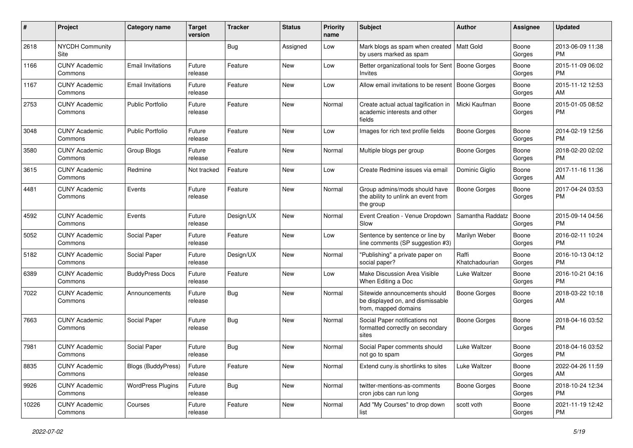| $\#$  | Project                         | <b>Category name</b>     | <b>Target</b><br>version | <b>Tracker</b> | <b>Status</b> | <b>Priority</b><br>name | <b>Subject</b>                                                                            | Author                  | Assignee        | <b>Updated</b>                |
|-------|---------------------------------|--------------------------|--------------------------|----------------|---------------|-------------------------|-------------------------------------------------------------------------------------------|-------------------------|-----------------|-------------------------------|
| 2618  | <b>NYCDH Community</b><br>Site  |                          |                          | <b>Bug</b>     | Assigned      | Low                     | Mark blogs as spam when created   Matt Gold<br>by users marked as spam                    |                         | Boone<br>Gorges | 2013-06-09 11:38<br><b>PM</b> |
| 1166  | <b>CUNY Academic</b><br>Commons | <b>Email Invitations</b> | Future<br>release        | Feature        | New           | Low                     | Better organizational tools for Sent   Boone Gorges<br>Invites                            |                         | Boone<br>Gorges | 2015-11-09 06:02<br><b>PM</b> |
| 1167  | <b>CUNY Academic</b><br>Commons | <b>Email Invitations</b> | Future<br>release        | Feature        | New           | Low                     | Allow email invitations to be resent                                                      | <b>Boone Gorges</b>     | Boone<br>Gorges | 2015-11-12 12:53<br>AM        |
| 2753  | <b>CUNY Academic</b><br>Commons | <b>Public Portfolio</b>  | Future<br>release        | Feature        | New           | Normal                  | Create actual actual tagification in<br>academic interests and other<br>fields            | Micki Kaufman           | Boone<br>Gorges | 2015-01-05 08:52<br><b>PM</b> |
| 3048  | <b>CUNY Academic</b><br>Commons | <b>Public Portfolio</b>  | Future<br>release        | Feature        | New           | Low                     | Images for rich text profile fields                                                       | <b>Boone Gorges</b>     | Boone<br>Gorges | 2014-02-19 12:56<br><b>PM</b> |
| 3580  | <b>CUNY Academic</b><br>Commons | Group Blogs              | Future<br>release        | Feature        | New           | Normal                  | Multiple blogs per group                                                                  | <b>Boone Gorges</b>     | Boone<br>Gorges | 2018-02-20 02:02<br><b>PM</b> |
| 3615  | <b>CUNY Academic</b><br>Commons | Redmine                  | Not tracked              | Feature        | New           | Low                     | Create Redmine issues via email                                                           | Dominic Giglio          | Boone<br>Gorges | 2017-11-16 11:36<br>AM        |
| 4481  | <b>CUNY Academic</b><br>Commons | Events                   | Future<br>release        | Feature        | New           | Normal                  | Group admins/mods should have<br>the ability to unlink an event from<br>the group         | Boone Gorges            | Boone<br>Gorges | 2017-04-24 03:53<br><b>PM</b> |
| 4592  | <b>CUNY Academic</b><br>Commons | Events                   | Future<br>release        | Design/UX      | New           | Normal                  | Event Creation - Venue Dropdown<br>Slow                                                   | Samantha Raddatz        | Boone<br>Gorges | 2015-09-14 04:56<br><b>PM</b> |
| 5052  | <b>CUNY Academic</b><br>Commons | Social Paper             | Future<br>release        | Feature        | New           | Low                     | Sentence by sentence or line by<br>line comments (SP suggestion #3)                       | Marilyn Weber           | Boone<br>Gorges | 2016-02-11 10:24<br><b>PM</b> |
| 5182  | <b>CUNY Academic</b><br>Commons | Social Paper             | Future<br>release        | Design/UX      | New           | Normal                  | "Publishing" a private paper on<br>social paper?                                          | Raffi<br>Khatchadourian | Boone<br>Gorges | 2016-10-13 04:12<br><b>PM</b> |
| 6389  | <b>CUNY Academic</b><br>Commons | <b>BuddyPress Docs</b>   | Future<br>release        | Feature        | New           | Low                     | Make Discussion Area Visible<br>When Editing a Doc                                        | Luke Waltzer            | Boone<br>Gorges | 2016-10-21 04:16<br><b>PM</b> |
| 7022  | <b>CUNY Academic</b><br>Commons | Announcements            | Future<br>release        | Bug            | <b>New</b>    | Normal                  | Sitewide announcements should<br>be displayed on, and dismissable<br>from, mapped domains | <b>Boone Gorges</b>     | Boone<br>Gorges | 2018-03-22 10:18<br>AM        |
| 7663  | <b>CUNY Academic</b><br>Commons | Social Paper             | Future<br>release        | Bug            | New           | Normal                  | Social Paper notifications not<br>formatted correctly on secondary<br>sites               | <b>Boone Gorges</b>     | Boone<br>Gorges | 2018-04-16 03:52<br><b>PM</b> |
| 7981  | <b>CUNY Academic</b><br>Commons | Social Paper             | Future<br>release        | <b>Bug</b>     | New           | Normal                  | Social Paper comments should<br>not go to spam                                            | Luke Waltzer            | Boone<br>Gorges | 2018-04-16 03:52<br><b>PM</b> |
| 8835  | <b>CUNY Academic</b><br>Commons | Blogs (BuddyPress)       | Future<br>release        | Feature        | New           | Normal                  | Extend cuny is shortlinks to sites                                                        | Luke Waltzer            | Boone<br>Gorges | 2022-04-26 11:59<br>AM        |
| 9926  | <b>CUNY Academic</b><br>Commons | <b>WordPress Plugins</b> | Future<br>release        | <b>Bug</b>     | New           | Normal                  | twitter-mentions-as-comments<br>cron jobs can run long                                    | <b>Boone Gorges</b>     | Boone<br>Gorges | 2018-10-24 12:34<br><b>PM</b> |
| 10226 | <b>CUNY Academic</b><br>Commons | Courses                  | Future<br>release        | Feature        | New           | Normal                  | Add "My Courses" to drop down<br>list                                                     | scott voth              | Boone<br>Gorges | 2021-11-19 12:42<br>PM        |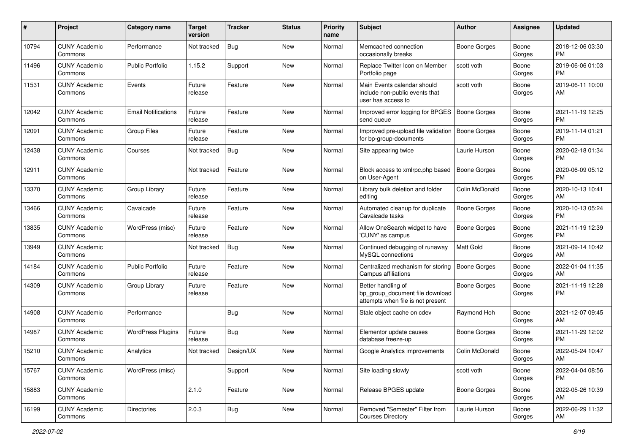| #     | Project                         | <b>Category name</b>       | <b>Target</b><br>version | <b>Tracker</b> | <b>Status</b> | <b>Priority</b><br>name | Subject                                                                                    | Author              | Assignee        | <b>Updated</b>                |
|-------|---------------------------------|----------------------------|--------------------------|----------------|---------------|-------------------------|--------------------------------------------------------------------------------------------|---------------------|-----------------|-------------------------------|
| 10794 | <b>CUNY Academic</b><br>Commons | Performance                | Not tracked              | Bug            | <b>New</b>    | Normal                  | Memcached connection<br>occasionally breaks                                                | Boone Gorges        | Boone<br>Gorges | 2018-12-06 03:30<br>PM.       |
| 11496 | <b>CUNY Academic</b><br>Commons | <b>Public Portfolio</b>    | 1.15.2                   | Support        | New           | Normal                  | Replace Twitter Icon on Member<br>Portfolio page                                           | scott voth          | Boone<br>Gorges | 2019-06-06 01:03<br><b>PM</b> |
| 11531 | <b>CUNY Academic</b><br>Commons | Events                     | Future<br>release        | Feature        | <b>New</b>    | Normal                  | Main Events calendar should<br>include non-public events that<br>user has access to        | scott voth          | Boone<br>Gorges | 2019-06-11 10:00<br>AM        |
| 12042 | <b>CUNY Academic</b><br>Commons | <b>Email Notifications</b> | Future<br>release        | Feature        | New           | Normal                  | Improved error logging for BPGES<br>send queue                                             | <b>Boone Gorges</b> | Boone<br>Gorges | 2021-11-19 12:25<br><b>PM</b> |
| 12091 | <b>CUNY Academic</b><br>Commons | <b>Group Files</b>         | Future<br>release        | Feature        | <b>New</b>    | Normal                  | Improved pre-upload file validation<br>for bp-group-documents                              | Boone Gorges        | Boone<br>Gorges | 2019-11-14 01:21<br><b>PM</b> |
| 12438 | <b>CUNY Academic</b><br>Commons | Courses                    | Not tracked              | Bug            | New           | Normal                  | Site appearing twice                                                                       | Laurie Hurson       | Boone<br>Gorges | 2020-02-18 01:34<br><b>PM</b> |
| 12911 | <b>CUNY Academic</b><br>Commons |                            | Not tracked              | Feature        | New           | Normal                  | Block access to xmlrpc.php based<br>on User-Agent                                          | <b>Boone Gorges</b> | Boone<br>Gorges | 2020-06-09 05:12<br><b>PM</b> |
| 13370 | <b>CUNY Academic</b><br>Commons | Group Library              | Future<br>release        | Feature        | New           | Normal                  | Library bulk deletion and folder<br>editing                                                | Colin McDonald      | Boone<br>Gorges | 2020-10-13 10:41<br>AM        |
| 13466 | <b>CUNY Academic</b><br>Commons | Cavalcade                  | Future<br>release        | Feature        | <b>New</b>    | Normal                  | Automated cleanup for duplicate<br>Cavalcade tasks                                         | <b>Boone Gorges</b> | Boone<br>Gorges | 2020-10-13 05:24<br>PM.       |
| 13835 | <b>CUNY Academic</b><br>Commons | WordPress (misc)           | Future<br>release        | Feature        | New           | Normal                  | Allow OneSearch widget to have<br>'CUNY' as campus                                         | <b>Boone Gorges</b> | Boone<br>Gorges | 2021-11-19 12:39<br><b>PM</b> |
| 13949 | <b>CUNY Academic</b><br>Commons |                            | Not tracked              | Bug            | <b>New</b>    | Normal                  | Continued debugging of runaway<br>MySQL connections                                        | Matt Gold           | Boone<br>Gorges | 2021-09-14 10:42<br>AM        |
| 14184 | <b>CUNY Academic</b><br>Commons | <b>Public Portfolio</b>    | Future<br>release        | Feature        | <b>New</b>    | Normal                  | Centralized mechanism for storing<br>Campus affiliations                                   | <b>Boone Gorges</b> | Boone<br>Gorges | 2022-01-04 11:35<br>AM        |
| 14309 | <b>CUNY Academic</b><br>Commons | Group Library              | Future<br>release        | Feature        | New           | Normal                  | Better handling of<br>bp_group_document file download<br>attempts when file is not present | Boone Gorges        | Boone<br>Gorges | 2021-11-19 12:28<br><b>PM</b> |
| 14908 | <b>CUNY Academic</b><br>Commons | Performance                |                          | <b>Bug</b>     | <b>New</b>    | Normal                  | Stale object cache on cdev                                                                 | Raymond Hoh         | Boone<br>Gorges | 2021-12-07 09:45<br>AM        |
| 14987 | <b>CUNY Academic</b><br>Commons | <b>WordPress Plugins</b>   | Future<br>release        | Bug            | New           | Normal                  | Elementor update causes<br>database freeze-up                                              | Boone Gorges        | Boone<br>Gorges | 2021-11-29 12:02<br><b>PM</b> |
| 15210 | <b>CUNY Academic</b><br>Commons | Analytics                  | Not tracked              | Design/UX      | New           | Normal                  | Google Analytics improvements                                                              | Colin McDonald      | Boone<br>Gorges | 2022-05-24 10:47<br>AM        |
| 15767 | <b>CUNY Academic</b><br>Commons | WordPress (misc)           |                          | Support        | New           | Normal                  | Site loading slowly                                                                        | scott voth          | Boone<br>Gorges | 2022-04-04 08:56<br>PM        |
| 15883 | <b>CUNY Academic</b><br>Commons |                            | 2.1.0                    | Feature        | New           | Normal                  | Release BPGES update                                                                       | Boone Gorges        | Boone<br>Gorges | 2022-05-26 10:39<br>AM        |
| 16199 | <b>CUNY Academic</b><br>Commons | Directories                | 2.0.3                    | Bug            | New           | Normal                  | Removed "Semester" Filter from<br><b>Courses Directory</b>                                 | Laurie Hurson       | Boone<br>Gorges | 2022-06-29 11:32<br>AM        |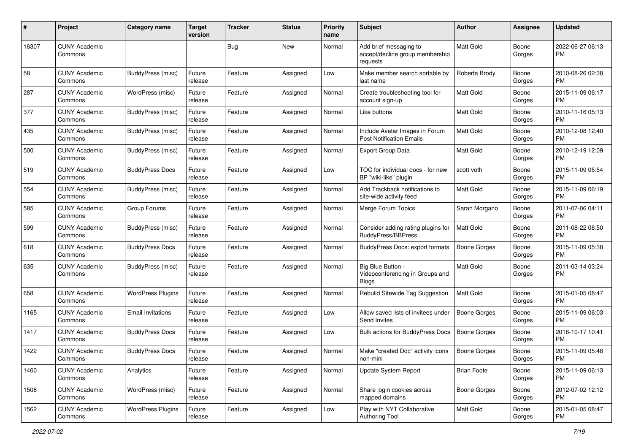| #     | Project                         | <b>Category name</b>     | <b>Target</b><br>version | <b>Tracker</b> | <b>Status</b> | <b>Priority</b><br>name | <b>Subject</b>                                                        | <b>Author</b>       | <b>Assignee</b> | <b>Updated</b>                |
|-------|---------------------------------|--------------------------|--------------------------|----------------|---------------|-------------------------|-----------------------------------------------------------------------|---------------------|-----------------|-------------------------------|
| 16307 | <b>CUNY Academic</b><br>Commons |                          |                          | <b>Bug</b>     | New           | Normal                  | Add brief messaging to<br>accept/decline group membership<br>requests | Matt Gold           | Boone<br>Gorges | 2022-06-27 06:13<br>PM.       |
| 58    | <b>CUNY Academic</b><br>Commons | <b>BuddyPress</b> (misc) | Future<br>release        | Feature        | Assigned      | Low                     | Make member search sortable by<br>last name                           | Roberta Brody       | Boone<br>Gorges | 2010-08-26 02:38<br>PM.       |
| 287   | <b>CUNY Academic</b><br>Commons | WordPress (misc)         | Future<br>release        | Feature        | Assigned      | Normal                  | Create troubleshooting tool for<br>account sign-up                    | <b>Matt Gold</b>    | Boone<br>Gorges | 2015-11-09 06:17<br><b>PM</b> |
| 377   | <b>CUNY Academic</b><br>Commons | <b>BuddyPress (misc)</b> | Future<br>release        | Feature        | Assigned      | Normal                  | Like buttons                                                          | Matt Gold           | Boone<br>Gorges | 2010-11-16 05:13<br><b>PM</b> |
| 435   | <b>CUNY Academic</b><br>Commons | BuddyPress (misc)        | Future<br>release        | Feature        | Assigned      | Normal                  | Include Avatar Images in Forum<br><b>Post Notification Emails</b>     | <b>Matt Gold</b>    | Boone<br>Gorges | 2010-12-08 12:40<br><b>PM</b> |
| 500   | <b>CUNY Academic</b><br>Commons | <b>BuddyPress (misc)</b> | Future<br>release        | Feature        | Assigned      | Normal                  | <b>Export Group Data</b>                                              | <b>Matt Gold</b>    | Boone<br>Gorges | 2010-12-19 12:09<br><b>PM</b> |
| 519   | <b>CUNY Academic</b><br>Commons | <b>BuddyPress Docs</b>   | Future<br>release        | Feature        | Assigned      | Low                     | TOC for individual docs - for new<br>BP "wiki-like" plugin            | scott voth          | Boone<br>Gorges | 2015-11-09 05:54<br><b>PM</b> |
| 554   | <b>CUNY Academic</b><br>Commons | <b>BuddyPress (misc)</b> | Future<br>release        | Feature        | Assigned      | Normal                  | Add Trackback notifications to<br>site-wide activity feed             | Matt Gold           | Boone<br>Gorges | 2015-11-09 06:19<br><b>PM</b> |
| 585   | <b>CUNY Academic</b><br>Commons | Group Forums             | Future<br>release        | Feature        | Assigned      | Normal                  | Merge Forum Topics                                                    | Sarah Morgano       | Boone<br>Gorges | 2011-07-06 04:11<br>PM.       |
| 599   | <b>CUNY Academic</b><br>Commons | BuddyPress (misc)        | Future<br>release        | Feature        | Assigned      | Normal                  | Consider adding rating plugins for<br>BuddyPress/BBPress              | <b>Matt Gold</b>    | Boone<br>Gorges | 2011-08-22 06:50<br><b>PM</b> |
| 618   | <b>CUNY Academic</b><br>Commons | <b>BuddyPress Docs</b>   | Future<br>release        | Feature        | Assigned      | Normal                  | <b>BuddyPress Docs: export formats</b>                                | <b>Boone Gorges</b> | Boone<br>Gorges | 2015-11-09 05:38<br><b>PM</b> |
| 635   | <b>CUNY Academic</b><br>Commons | BuddyPress (misc)        | Future<br>release        | Feature        | Assigned      | Normal                  | Big Blue Button -<br>Videoconferencing in Groups and<br><b>Blogs</b>  | <b>Matt Gold</b>    | Boone<br>Gorges | 2011-03-14 03:24<br><b>PM</b> |
| 658   | <b>CUNY Academic</b><br>Commons | <b>WordPress Plugins</b> | Future<br>release        | Feature        | Assigned      | Normal                  | Rebulid Sitewide Tag Suggestion                                       | <b>Matt Gold</b>    | Boone<br>Gorges | 2015-01-05 08:47<br><b>PM</b> |
| 1165  | <b>CUNY Academic</b><br>Commons | <b>Email Invitations</b> | Future<br>release        | Feature        | Assigned      | Low                     | Allow saved lists of invitees under<br>Send Invites                   | Boone Gorges        | Boone<br>Gorges | 2015-11-09 06:03<br><b>PM</b> |
| 1417  | <b>CUNY Academic</b><br>Commons | <b>BuddyPress Docs</b>   | Future<br>release        | Feature        | Assigned      | Low                     | <b>Bulk actions for BuddyPress Docs</b>                               | <b>Boone Gorges</b> | Boone<br>Gorges | 2016-10-17 10:41<br><b>PM</b> |
| 1422  | <b>CUNY Academic</b><br>Commons | <b>BuddyPress Docs</b>   | Future<br>release        | Feature        | Assigned      | Normal                  | Make "created Doc" activity icons<br>non-mini                         | <b>Boone Gorges</b> | Boone<br>Gorges | 2015-11-09 05:48<br>PM        |
| 1460  | <b>CUNY Academic</b><br>Commons | Analytics                | Future<br>release        | Feature        | Assigned      | Normal                  | <b>Update System Report</b>                                           | <b>Brian Foote</b>  | Boone<br>Gorges | 2015-11-09 06:13<br><b>PM</b> |
| 1508  | <b>CUNY Academic</b><br>Commons | WordPress (misc)         | Future<br>release        | Feature        | Assigned      | Normal                  | Share login cookies across<br>mapped domains                          | Boone Gorges        | Boone<br>Gorges | 2012-07-02 12:12<br><b>PM</b> |
| 1562  | <b>CUNY Academic</b><br>Commons | <b>WordPress Plugins</b> | Future<br>release        | Feature        | Assigned      | Low                     | Play with NYT Collaborative<br>Authoring Tool                         | Matt Gold           | Boone<br>Gorges | 2015-01-05 08:47<br><b>PM</b> |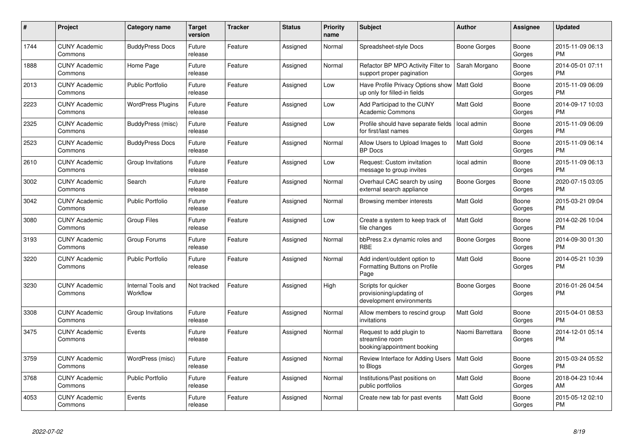| #    | <b>Project</b>                  | Category name                  | Target<br>version | <b>Tracker</b> | <b>Status</b> | <b>Priority</b><br>name | <b>Subject</b>                                                              | <b>Author</b>       | Assignee        | <b>Updated</b>                |
|------|---------------------------------|--------------------------------|-------------------|----------------|---------------|-------------------------|-----------------------------------------------------------------------------|---------------------|-----------------|-------------------------------|
| 1744 | <b>CUNY Academic</b><br>Commons | <b>BuddyPress Docs</b>         | Future<br>release | Feature        | Assigned      | Normal                  | Spreadsheet-style Docs                                                      | Boone Gorges        | Boone<br>Gorges | 2015-11-09 06:13<br><b>PM</b> |
| 1888 | <b>CUNY Academic</b><br>Commons | Home Page                      | Future<br>release | Feature        | Assigned      | Normal                  | Refactor BP MPO Activity Filter to<br>support proper pagination             | Sarah Morgano       | Boone<br>Gorges | 2014-05-01 07:11<br><b>PM</b> |
| 2013 | <b>CUNY Academic</b><br>Commons | <b>Public Portfolio</b>        | Future<br>release | Feature        | Assigned      | Low                     | Have Profile Privacy Options show<br>up only for filled-in fields           | <b>Matt Gold</b>    | Boone<br>Gorges | 2015-11-09 06:09<br><b>PM</b> |
| 2223 | <b>CUNY Academic</b><br>Commons | <b>WordPress Plugins</b>       | Future<br>release | Feature        | Assigned      | Low                     | Add Participad to the CUNY<br><b>Academic Commons</b>                       | Matt Gold           | Boone<br>Gorges | 2014-09-17 10:03<br><b>PM</b> |
| 2325 | <b>CUNY Academic</b><br>Commons | BuddyPress (misc)              | Future<br>release | Feature        | Assigned      | Low                     | Profile should have separate fields<br>for first/last names                 | local admin         | Boone<br>Gorges | 2015-11-09 06:09<br><b>PM</b> |
| 2523 | <b>CUNY Academic</b><br>Commons | <b>BuddyPress Docs</b>         | Future<br>release | Feature        | Assigned      | Normal                  | Allow Users to Upload Images to<br><b>BP</b> Docs                           | <b>Matt Gold</b>    | Boone<br>Gorges | 2015-11-09 06:14<br><b>PM</b> |
| 2610 | <b>CUNY Academic</b><br>Commons | Group Invitations              | Future<br>release | Feature        | Assigned      | Low                     | Request: Custom invitation<br>message to group invites                      | local admin         | Boone<br>Gorges | 2015-11-09 06:13<br><b>PM</b> |
| 3002 | <b>CUNY Academic</b><br>Commons | Search                         | Future<br>release | Feature        | Assigned      | Normal                  | Overhaul CAC search by using<br>external search appliance                   | <b>Boone Gorges</b> | Boone<br>Gorges | 2020-07-15 03:05<br><b>PM</b> |
| 3042 | <b>CUNY Academic</b><br>Commons | <b>Public Portfolio</b>        | Future<br>release | Feature        | Assigned      | Normal                  | Browsing member interests                                                   | <b>Matt Gold</b>    | Boone<br>Gorges | 2015-03-21 09:04<br>PM        |
| 3080 | <b>CUNY Academic</b><br>Commons | <b>Group Files</b>             | Future<br>release | Feature        | Assigned      | Low                     | Create a system to keep track of<br>file changes                            | Matt Gold           | Boone<br>Gorges | 2014-02-26 10:04<br><b>PM</b> |
| 3193 | <b>CUNY Academic</b><br>Commons | Group Forums                   | Future<br>release | Feature        | Assigned      | Normal                  | bbPress 2.x dynamic roles and<br><b>RBE</b>                                 | Boone Gorges        | Boone<br>Gorges | 2014-09-30 01:30<br><b>PM</b> |
| 3220 | <b>CUNY Academic</b><br>Commons | Public Portfolio               | Future<br>release | Feature        | Assigned      | Normal                  | Add indent/outdent option to<br>Formatting Buttons on Profile<br>Page       | <b>Matt Gold</b>    | Boone<br>Gorges | 2014-05-21 10:39<br><b>PM</b> |
| 3230 | <b>CUNY Academic</b><br>Commons | Internal Tools and<br>Workflow | Not tracked       | Feature        | Assigned      | High                    | Scripts for quicker<br>provisioning/updating of<br>development environments | Boone Gorges        | Boone<br>Gorges | 2016-01-26 04:54<br><b>PM</b> |
| 3308 | <b>CUNY Academic</b><br>Commons | Group Invitations              | Future<br>release | Feature        | Assigned      | Normal                  | Allow members to rescind group<br>invitations                               | <b>Matt Gold</b>    | Boone<br>Gorges | 2015-04-01 08:53<br><b>PM</b> |
| 3475 | <b>CUNY Academic</b><br>Commons | Events                         | Future<br>release | Feature        | Assigned      | Normal                  | Request to add plugin to<br>streamline room<br>booking/appointment booking  | Naomi Barrettara    | Boone<br>Gorges | 2014-12-01 05:14<br><b>PM</b> |
| 3759 | <b>CUNY Academic</b><br>Commons | WordPress (misc)               | Future<br>release | Feature        | Assigned      | Normal                  | Review Interface for Adding Users<br>to Blogs                               | <b>Matt Gold</b>    | Boone<br>Gorges | 2015-03-24 05:52<br>PM.       |
| 3768 | <b>CUNY Academic</b><br>Commons | Public Portfolio               | Future<br>release | Feature        | Assigned      | Normal                  | Institutions/Past positions on<br>public portfolios                         | Matt Gold           | Boone<br>Gorges | 2018-04-23 10:44<br>AM        |
| 4053 | <b>CUNY Academic</b><br>Commons | Events                         | Future<br>release | Feature        | Assigned      | Normal                  | Create new tab for past events                                              | Matt Gold           | Boone<br>Gorges | 2015-05-12 02:10<br><b>PM</b> |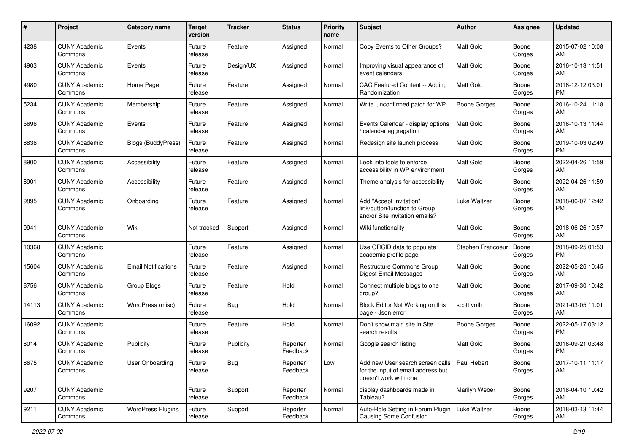| #     | Project                         | <b>Category name</b>       | <b>Target</b><br>version | <b>Tracker</b> | <b>Status</b>        | <b>Priority</b><br>name | <b>Subject</b>                                                                                  | Author           | <b>Assignee</b> | <b>Updated</b>                |
|-------|---------------------------------|----------------------------|--------------------------|----------------|----------------------|-------------------------|-------------------------------------------------------------------------------------------------|------------------|-----------------|-------------------------------|
| 4238  | <b>CUNY Academic</b><br>Commons | Events                     | Future<br>release        | Feature        | Assigned             | Normal                  | Copy Events to Other Groups?                                                                    | <b>Matt Gold</b> | Boone<br>Gorges | 2015-07-02 10:08<br>AM        |
| 4903  | <b>CUNY Academic</b><br>Commons | Events                     | Future<br>release        | Design/UX      | Assigned             | Normal                  | Improving visual appearance of<br>event calendars                                               | <b>Matt Gold</b> | Boone<br>Gorges | 2016-10-13 11:51<br>AM        |
| 4980  | <b>CUNY Academic</b><br>Commons | Home Page                  | Future<br>release        | Feature        | Assigned             | Normal                  | CAC Featured Content -- Adding<br>Randomization                                                 | Matt Gold        | Boone<br>Gorges | 2016-12-12 03:01<br><b>PM</b> |
| 5234  | <b>CUNY Academic</b><br>Commons | Membership                 | Future<br>release        | Feature        | Assigned             | Normal                  | Write Unconfirmed patch for WP                                                                  | Boone Gorges     | Boone<br>Gorges | 2016-10-24 11:18<br>AM        |
| 5696  | <b>CUNY Academic</b><br>Commons | Events                     | Future<br>release        | Feature        | Assigned             | Normal                  | Events Calendar - display options<br>/ calendar aggregation                                     | <b>Matt Gold</b> | Boone<br>Gorges | 2016-10-13 11:44<br>AM        |
| 8836  | <b>CUNY Academic</b><br>Commons | <b>Blogs (BuddyPress)</b>  | Future<br>release        | Feature        | Assigned             | Normal                  | Redesign site launch process                                                                    | <b>Matt Gold</b> | Boone<br>Gorges | 2019-10-03 02:49<br><b>PM</b> |
| 8900  | <b>CUNY Academic</b><br>Commons | Accessibility              | Future<br>release        | Feature        | Assigned             | Normal                  | Look into tools to enforce<br>accessibility in WP environment                                   | <b>Matt Gold</b> | Boone<br>Gorges | 2022-04-26 11:59<br>AM        |
| 8901  | <b>CUNY Academic</b><br>Commons | Accessibility              | Future<br>release        | Feature        | Assigned             | Normal                  | Theme analysis for accessibility                                                                | <b>Matt Gold</b> | Boone<br>Gorges | 2022-04-26 11:59<br>AM        |
| 9895  | <b>CUNY Academic</b><br>Commons | Onboarding                 | Future<br>release        | Feature        | Assigned             | Normal                  | Add "Accept Invitation"<br>link/button/function to Group<br>and/or Site invitation emails?      | Luke Waltzer     | Boone<br>Gorges | 2018-06-07 12:42<br><b>PM</b> |
| 9941  | <b>CUNY Academic</b><br>Commons | Wiki                       | Not tracked              | Support        | Assigned             | Normal                  | Wiki functionality                                                                              | <b>Matt Gold</b> | Boone<br>Gorges | 2018-06-26 10:57<br>AM        |
| 10368 | <b>CUNY Academic</b><br>Commons |                            | Future<br>release        | Feature        | Assigned             | Normal                  | Use ORCID data to populate<br>academic profile page                                             | Stephen Francoeu | Boone<br>Gorges | 2018-09-25 01:53<br><b>PM</b> |
| 15604 | <b>CUNY Academic</b><br>Commons | <b>Email Notifications</b> | Future<br>release        | Feature        | Assigned             | Normal                  | Restructure Commons Group<br>Digest Email Messages                                              | Matt Gold        | Boone<br>Gorges | 2022-05-26 10:45<br>AM        |
| 8756  | <b>CUNY Academic</b><br>Commons | Group Blogs                | Future<br>release        | Feature        | Hold                 | Normal                  | Connect multiple blogs to one<br>group?                                                         | Matt Gold        | Boone<br>Gorges | 2017-09-30 10:42<br>AM        |
| 14113 | <b>CUNY Academic</b><br>Commons | WordPress (misc)           | Future<br>release        | Bug            | Hold                 | Normal                  | Block Editor Not Working on this<br>page - Json error                                           | scott voth       | Boone<br>Gorges | 2021-03-05 11:01<br>AM        |
| 16092 | <b>CUNY Academic</b><br>Commons |                            | Future<br>release        | Feature        | Hold                 | Normal                  | Don't show main site in Site<br>search results                                                  | Boone Gorges     | Boone<br>Gorges | 2022-05-17 03:12<br><b>PM</b> |
| 6014  | <b>CUNY Academic</b><br>Commons | Publicity                  | Future<br>release        | Publicity      | Reporter<br>Feedback | Normal                  | Google search listing                                                                           | <b>Matt Gold</b> | Boone<br>Gorges | 2016-09-21 03:48<br><b>PM</b> |
| 8675  | <b>CUNY Academic</b><br>Commons | User Onboarding            | Future<br>release        | <b>Bug</b>     | Reporter<br>Feedback | Low                     | Add new User search screen calls<br>for the input of email address but<br>doesn't work with one | Paul Hebert      | Boone<br>Gorges | 2017-10-11 11:17<br>AM        |
| 9207  | <b>CUNY Academic</b><br>Commons |                            | Future<br>release        | Support        | Reporter<br>Feedback | Normal                  | display dashboards made in<br>Tableau?                                                          | Marilyn Weber    | Boone<br>Gorges | 2018-04-10 10:42<br>AM        |
| 9211  | <b>CUNY Academic</b><br>Commons | <b>WordPress Plugins</b>   | Future<br>release        | Support        | Reporter<br>Feedback | Normal                  | Auto-Role Setting in Forum Plugin<br>Causing Some Confusion                                     | Luke Waltzer     | Boone<br>Gorges | 2018-03-13 11:44<br>AM        |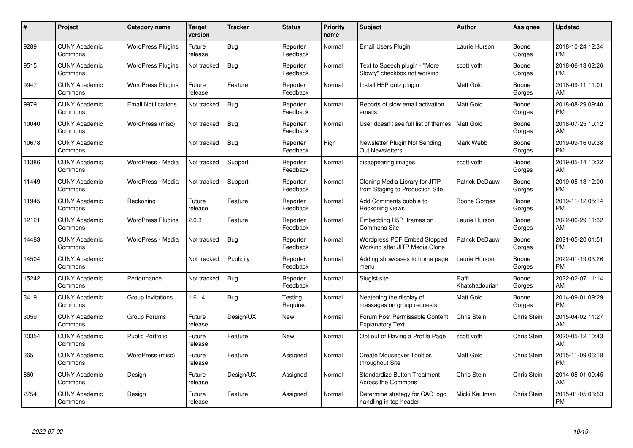| #     | Project                         | <b>Category name</b>       | Target<br>version | <b>Tracker</b> | <b>Status</b>        | Priority<br>name | <b>Subject</b>                                                       | <b>Author</b>           | <b>Assignee</b>    | <b>Updated</b>                |
|-------|---------------------------------|----------------------------|-------------------|----------------|----------------------|------------------|----------------------------------------------------------------------|-------------------------|--------------------|-------------------------------|
| 9289  | <b>CUNY Academic</b><br>Commons | <b>WordPress Plugins</b>   | Future<br>release | Bug            | Reporter<br>Feedback | Normal           | <b>Email Users Plugin</b>                                            | Laurie Hurson           | Boone<br>Gorges    | 2018-10-24 12:34<br><b>PM</b> |
| 9515  | <b>CUNY Academic</b><br>Commons | <b>WordPress Plugins</b>   | Not tracked       | Bug            | Reporter<br>Feedback | Normal           | Text to Speech plugin - "More<br>Slowly" checkbox not working        | scott voth              | Boone<br>Gorges    | 2018-06-13 02:26<br><b>PM</b> |
| 9947  | <b>CUNY Academic</b><br>Commons | <b>WordPress Plugins</b>   | Future<br>release | Feature        | Reporter<br>Feedback | Normal           | Install H5P quiz plugin                                              | <b>Matt Gold</b>        | Boone<br>Gorges    | 2018-09-11 11:01<br>AM        |
| 9979  | <b>CUNY Academic</b><br>Commons | <b>Email Notifications</b> | Not tracked       | Bug            | Reporter<br>Feedback | Normal           | Reports of slow email activation<br>emails                           | <b>Matt Gold</b>        | Boone<br>Gorges    | 2018-08-29 09:40<br><b>PM</b> |
| 10040 | <b>CUNY Academic</b><br>Commons | WordPress (misc)           | Not tracked       | <b>Bug</b>     | Reporter<br>Feedback | Normal           | User doesn't see full list of themes                                 | <b>Matt Gold</b>        | Boone<br>Gorges    | 2018-07-25 10:12<br><b>AM</b> |
| 10678 | <b>CUNY Academic</b><br>Commons |                            | Not tracked       | <b>Bug</b>     | Reporter<br>Feedback | High             | Newsletter Plugin Not Sending<br>Out Newsletters                     | Mark Webb               | Boone<br>Gorges    | 2019-09-16 09:38<br><b>PM</b> |
| 11386 | <b>CUNY Academic</b><br>Commons | WordPress - Media          | Not tracked       | Support        | Reporter<br>Feedback | Normal           | disappearing images                                                  | scott voth              | Boone<br>Gorges    | 2019-05-14 10:32<br>AM        |
| 11449 | <b>CUNY Academic</b><br>Commons | WordPress - Media          | Not tracked       | Support        | Reporter<br>Feedback | Normal           | Cloning Media Library for JITP<br>from Staging to Production Site    | Patrick DeDauw          | Boone<br>Gorges    | 2019-05-13 12:00<br><b>PM</b> |
| 11945 | <b>CUNY Academic</b><br>Commons | Reckoning                  | Future<br>release | Feature        | Reporter<br>Feedback | Normal           | Add Comments bubble to<br>Reckoning views                            | Boone Gorges            | Boone<br>Gorges    | 2019-11-12 05:14<br><b>PM</b> |
| 12121 | <b>CUNY Academic</b><br>Commons | <b>WordPress Plugins</b>   | 2.0.3             | Feature        | Reporter<br>Feedback | Normal           | Embedding H5P Iframes on<br><b>Commons Site</b>                      | Laurie Hurson           | Boone<br>Gorges    | 2022-06-29 11:32<br>AM        |
| 14483 | <b>CUNY Academic</b><br>Commons | WordPress - Media          | Not tracked       | Bug            | Reporter<br>Feedback | Normal           | <b>Wordpress PDF Embed Stopped</b><br>Working after JITP Media Clone | Patrick DeDauw          | Boone<br>Gorges    | 2021-05-20 01:51<br><b>PM</b> |
| 14504 | <b>CUNY Academic</b><br>Commons |                            | Not tracked       | Publicity      | Reporter<br>Feedback | Normal           | Adding showcases to home page<br>menu                                | Laurie Hurson           | Boone<br>Gorges    | 2022-01-19 03:26<br><b>PM</b> |
| 15242 | <b>CUNY Academic</b><br>Commons | Performance                | Not tracked       | <b>Bug</b>     | Reporter<br>Feedback | Normal           | Slugist site                                                         | Raffi<br>Khatchadourian | Boone<br>Gorges    | 2022-02-07 11:14<br>AM        |
| 3419  | <b>CUNY Academic</b><br>Commons | Group Invitations          | 1.6.14            | Bug            | Testing<br>Required  | Normal           | Neatening the display of<br>messages on group requests               | <b>Matt Gold</b>        | Boone<br>Gorges    | 2014-09-01 09:29<br><b>PM</b> |
| 3059  | <b>CUNY Academic</b><br>Commons | Group Forums               | Future<br>release | Design/UX      | New                  | Normal           | Forum Post Permissable Content<br><b>Explanatory Text</b>            | Chris Stein             | Chris Stein        | 2015-04-02 11:27<br><b>AM</b> |
| 10354 | <b>CUNY Academic</b><br>Commons | <b>Public Portfolio</b>    | Future<br>release | Feature        | <b>New</b>           | Normal           | Opt out of Having a Profile Page                                     | scott voth              | Chris Stein        | 2020-05-12 10:43<br>AM        |
| 365   | <b>CUNY Academic</b><br>Commons | WordPress (misc)           | Future<br>release | Feature        | Assigned             | Normal           | <b>Create Mouseover Tooltips</b><br>throughout Site                  | <b>Matt Gold</b>        | Chris Stein        | 2015-11-09 06:18<br><b>PM</b> |
| 860   | <b>CUNY Academic</b><br>Commons | Design                     | Future<br>release | Design/UX      | Assigned             | Normal           | <b>Standardize Button Treatment</b><br><b>Across the Commons</b>     | Chris Stein             | Chris Stein        | 2014-05-01 09:45<br>AM        |
| 2754  | <b>CUNY Academic</b><br>Commons | Design                     | Future<br>release | Feature        | Assigned             | Normal           | Determine strategy for CAC logo<br>handling in top header            | Micki Kaufman           | <b>Chris Stein</b> | 2015-01-05 08:53<br>PM        |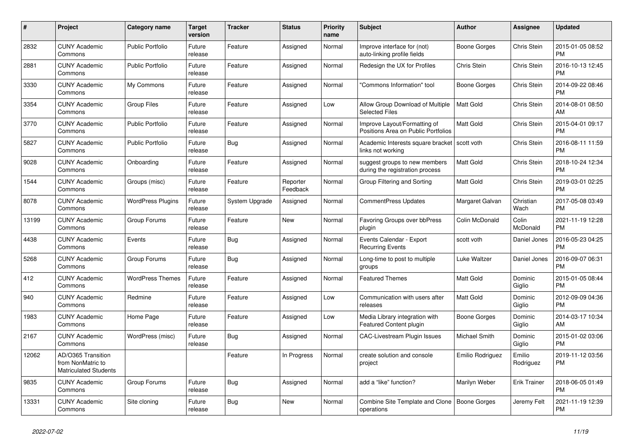| #     | Project                                                                 | <b>Category name</b>     | <b>Target</b><br>version | <b>Tracker</b> | <b>Status</b>        | <b>Priority</b><br>name | <b>Subject</b>                                                      | <b>Author</b>    | Assignee            | <b>Updated</b>                |
|-------|-------------------------------------------------------------------------|--------------------------|--------------------------|----------------|----------------------|-------------------------|---------------------------------------------------------------------|------------------|---------------------|-------------------------------|
| 2832  | <b>CUNY Academic</b><br>Commons                                         | <b>Public Portfolio</b>  | Future<br>release        | Feature        | Assigned             | Normal                  | Improve interface for (not)<br>auto-linking profile fields          | Boone Gorges     | Chris Stein         | 2015-01-05 08:52<br><b>PM</b> |
| 2881  | <b>CUNY Academic</b><br>Commons                                         | <b>Public Portfolio</b>  | Future<br>release        | Feature        | Assigned             | Normal                  | Redesign the UX for Profiles                                        | Chris Stein      | Chris Stein         | 2016-10-13 12:45<br><b>PM</b> |
| 3330  | <b>CUNY Academic</b><br>Commons                                         | My Commons               | Future<br>release        | Feature        | Assigned             | Normal                  | "Commons Information" tool                                          | Boone Gorges     | Chris Stein         | 2014-09-22 08:46<br><b>PM</b> |
| 3354  | <b>CUNY Academic</b><br>Commons                                         | <b>Group Files</b>       | Future<br>release        | Feature        | Assigned             | Low                     | Allow Group Download of Multiple<br><b>Selected Files</b>           | <b>Matt Gold</b> | Chris Stein         | 2014-08-01 08:50<br>AM        |
| 3770  | <b>CUNY Academic</b><br>Commons                                         | <b>Public Portfolio</b>  | Future<br>release        | Feature        | Assigned             | Normal                  | Improve Layout/Formatting of<br>Positions Area on Public Portfolios | Matt Gold        | Chris Stein         | 2015-04-01 09:17<br><b>PM</b> |
| 5827  | <b>CUNY Academic</b><br>Commons                                         | <b>Public Portfolio</b>  | Future<br>release        | Bug            | Assigned             | Normal                  | Academic Interests square bracket<br>links not working              | scott voth       | Chris Stein         | 2016-08-11 11:59<br><b>PM</b> |
| 9028  | <b>CUNY Academic</b><br>Commons                                         | Onboarding               | Future<br>release        | Feature        | Assigned             | Normal                  | suggest groups to new members<br>during the registration process    | <b>Matt Gold</b> | Chris Stein         | 2018-10-24 12:34<br><b>PM</b> |
| 1544  | <b>CUNY Academic</b><br>Commons                                         | Groups (misc)            | Future<br>release        | Feature        | Reporter<br>Feedback | Normal                  | Group Filtering and Sorting                                         | Matt Gold        | Chris Stein         | 2019-03-01 02:25<br><b>PM</b> |
| 8078  | <b>CUNY Academic</b><br>Commons                                         | <b>WordPress Plugins</b> | Future<br>release        | System Upgrade | Assigned             | Normal                  | <b>CommentPress Updates</b>                                         | Margaret Galvan  | Christian<br>Wach   | 2017-05-08 03:49<br><b>PM</b> |
| 13199 | <b>CUNY Academic</b><br>Commons                                         | Group Forums             | Future<br>release        | Feature        | <b>New</b>           | Normal                  | Favoring Groups over bbPress<br>plugin                              | Colin McDonald   | Colin<br>McDonald   | 2021-11-19 12:28<br><b>PM</b> |
| 4438  | <b>CUNY Academic</b><br>Commons                                         | Events                   | Future<br>release        | Bug            | Assigned             | Normal                  | Events Calendar - Export<br><b>Recurring Events</b>                 | scott voth       | Daniel Jones        | 2016-05-23 04:25<br><b>PM</b> |
| 5268  | <b>CUNY Academic</b><br>Commons                                         | Group Forums             | Future<br>release        | Bug            | Assigned             | Normal                  | Long-time to post to multiple<br>groups                             | Luke Waltzer     | Daniel Jones        | 2016-09-07 06:31<br><b>PM</b> |
| 412   | <b>CUNY Academic</b><br>Commons                                         | <b>WordPress Themes</b>  | Future<br>release        | Feature        | Assigned             | Normal                  | <b>Featured Themes</b>                                              | <b>Matt Gold</b> | Dominic<br>Giglio   | 2015-01-05 08:44<br><b>PM</b> |
| 940   | <b>CUNY Academic</b><br>Commons                                         | Redmine                  | Future<br>release        | Feature        | Assigned             | Low                     | Communication with users after<br>releases                          | <b>Matt Gold</b> | Dominic<br>Giglio   | 2012-09-09 04:36<br><b>PM</b> |
| 1983  | <b>CUNY Academic</b><br>Commons                                         | Home Page                | Future<br>release        | Feature        | Assigned             | Low                     | Media Library integration with<br>Featured Content plugin           | Boone Gorges     | Dominic<br>Giglio   | 2014-03-17 10:34<br>AM        |
| 2167  | <b>CUNY Academic</b><br>Commons                                         | WordPress (misc)         | Future<br>release        | Bug            | Assigned             | Normal                  | CAC-Livestream Plugin Issues                                        | Michael Smith    | Dominic<br>Giglio   | 2015-01-02 03:06<br><b>PM</b> |
| 12062 | AD/O365 Transition<br>from NonMatric to<br><b>Matriculated Students</b> |                          |                          | Feature        | In Progress          | Normal                  | create solution and console<br>project                              | Emilio Rodriguez | Emilio<br>Rodriguez | 2019-11-12 03:56<br><b>PM</b> |
| 9835  | <b>CUNY Academic</b><br>Commons                                         | Group Forums             | Future<br>release        | Bug            | Assigned             | Normal                  | add a "like" function?                                              | Marilyn Weber    | <b>Erik Trainer</b> | 2018-06-05 01:49<br><b>PM</b> |
| 13331 | <b>CUNY Academic</b><br>Commons                                         | Site cloning             | Future<br>release        | Bug            | <b>New</b>           | Normal                  | Combine Site Template and Clone<br>operations                       | Boone Gorges     | Jeremy Felt         | 2021-11-19 12:39<br><b>PM</b> |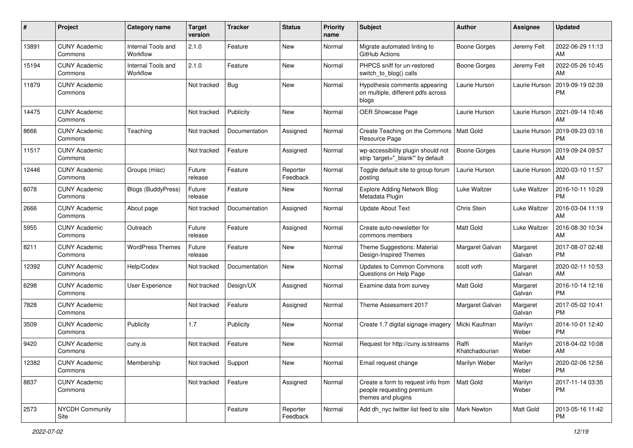| #     | Project                         | <b>Category name</b>           | <b>Target</b><br>version | <b>Tracker</b> | <b>Status</b>        | <b>Priority</b><br>name | <b>Subject</b>                                                                        | Author                  | Assignee            | <b>Updated</b>                |
|-------|---------------------------------|--------------------------------|--------------------------|----------------|----------------------|-------------------------|---------------------------------------------------------------------------------------|-------------------------|---------------------|-------------------------------|
| 13891 | <b>CUNY Academic</b><br>Commons | Internal Tools and<br>Workflow | 2.1.0                    | Feature        | <b>New</b>           | Normal                  | Migrate automated linting to<br>GitHub Actions                                        | <b>Boone Gorges</b>     | Jeremy Felt         | 2022-06-29 11:13<br>AM        |
| 15194 | <b>CUNY Academic</b><br>Commons | Internal Tools and<br>Workflow | 2.1.0                    | Feature        | New                  | Normal                  | PHPCS sniff for un-restored<br>switch to blog() calls                                 | <b>Boone Gorges</b>     | Jeremy Felt         | 2022-05-26 10:45<br>AM        |
| 11879 | <b>CUNY Academic</b><br>Commons |                                | Not tracked              | Bug            | <b>New</b>           | Normal                  | Hypothesis comments appearing<br>on multiple, different pdfs across<br>blogs          | Laurie Hurson           | Laurie Hurson       | 2019-09-19 02:39<br><b>PM</b> |
| 14475 | <b>CUNY Academic</b><br>Commons |                                | Not tracked              | Publicity      | <b>New</b>           | Normal                  | OER Showcase Page                                                                     | Laurie Hurson           | Laurie Hurson       | 2021-09-14 10:46<br>AM        |
| 8666  | <b>CUNY Academic</b><br>Commons | Teaching                       | Not tracked              | Documentation  | Assigned             | Normal                  | Create Teaching on the Commons<br>Resource Page                                       | <b>Matt Gold</b>        | Laurie Hurson       | 2019-09-23 03:16<br><b>PM</b> |
| 11517 | <b>CUNY Academic</b><br>Commons |                                | Not tracked              | Feature        | Assigned             | Normal                  | wp-accessibility plugin should not<br>strip 'target="_blank"' by default              | Boone Gorges            | Laurie Hurson       | 2019-09-24 09:57<br>AM        |
| 12446 | <b>CUNY Academic</b><br>Commons | Groups (misc)                  | Future<br>release        | Feature        | Reporter<br>Feedback | Normal                  | Toggle default site to group forum<br>posting                                         | Laurie Hurson           | Laurie Hurson       | 2020-03-10 11:57<br>AM        |
| 6078  | <b>CUNY Academic</b><br>Commons | <b>Blogs (BuddyPress)</b>      | Future<br>release        | Feature        | New                  | Normal                  | <b>Explore Adding Network Blog</b><br>Metadata Plugin                                 | Luke Waltzer            | Luke Waltzer        | 2016-10-11 10:29<br><b>PM</b> |
| 2666  | <b>CUNY Academic</b><br>Commons | About page                     | Not tracked              | Documentation  | Assigned             | Normal                  | <b>Update About Text</b>                                                              | Chris Stein             | Luke Waltzer        | 2016-03-04 11:19<br>AM        |
| 5955  | <b>CUNY Academic</b><br>Commons | Outreach                       | Future<br>release        | Feature        | Assigned             | Normal                  | Create auto-newsletter for<br>commons members                                         | <b>Matt Gold</b>        | <b>Luke Waltzer</b> | 2016-08-30 10:34<br>AM        |
| 8211  | <b>CUNY Academic</b><br>Commons | <b>WordPress Themes</b>        | Future<br>release        | Feature        | <b>New</b>           | Normal                  | Theme Suggestions: Material<br>Design-Inspired Themes                                 | Margaret Galvan         | Margaret<br>Galvan  | 2017-08-07 02:48<br><b>PM</b> |
| 12392 | <b>CUNY Academic</b><br>Commons | Help/Codex                     | Not tracked              | Documentation  | <b>New</b>           | Normal                  | Updates to Common Commons<br>Questions on Help Page                                   | scott voth              | Margaret<br>Galvan  | 2020-02-11 10:53<br>AM        |
| 6298  | <b>CUNY Academic</b><br>Commons | User Experience                | Not tracked              | Design/UX      | Assigned             | Normal                  | Examine data from survey                                                              | <b>Matt Gold</b>        | Margaret<br>Galvan  | 2016-10-14 12:16<br><b>PM</b> |
| 7828  | <b>CUNY Academic</b><br>Commons |                                | Not tracked              | Feature        | Assigned             | Normal                  | Theme Assessment 2017                                                                 | Margaret Galvan         | Margaret<br>Galvan  | 2017-05-02 10:41<br><b>PM</b> |
| 3509  | <b>CUNY Academic</b><br>Commons | Publicity                      | 1.7                      | Publicity      | New                  | Normal                  | Create 1.7 digital signage imagery                                                    | Micki Kaufman           | Marilyn<br>Weber    | 2014-10-01 12:40<br><b>PM</b> |
| 9420  | <b>CUNY Academic</b><br>Commons | cuny.is                        | Not tracked              | Feature        | <b>New</b>           | Normal                  | Request for http://cuny.is/streams                                                    | Raffi<br>Khatchadourian | Marilyn<br>Weber    | 2018-04-02 10:08<br>AM        |
| 12382 | <b>CUNY Academic</b><br>Commons | Membership                     | Not tracked              | Support        | New                  | Normal                  | Email request change                                                                  | Marilyn Weber           | Marilyn<br>Weber    | 2020-02-06 12:56<br><b>PM</b> |
| 8837  | <b>CUNY Academic</b><br>Commons |                                | Not tracked              | Feature        | Assigned             | Normal                  | Create a form to request info from<br>people requesting premium<br>themes and plugins | Matt Gold               | Marilyn<br>Weber    | 2017-11-14 03:35<br><b>PM</b> |
| 2573  | NYCDH Community<br>Site         |                                |                          | Feature        | Reporter<br>Feedback | Normal                  | Add dh_nyc twitter list feed to site                                                  | Mark Newton             | Matt Gold           | 2013-05-16 11:42<br><b>PM</b> |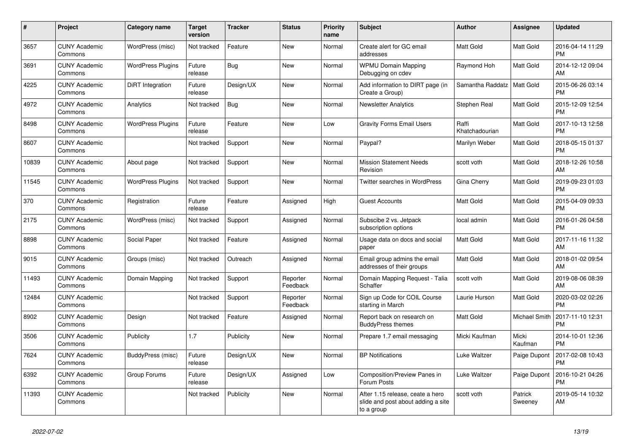| #     | Project                         | Category name            | <b>Target</b><br>version | <b>Tracker</b> | <b>Status</b>        | Priority<br>name | <b>Subject</b>                                                                       | <b>Author</b>           | Assignee           | <b>Updated</b>                |
|-------|---------------------------------|--------------------------|--------------------------|----------------|----------------------|------------------|--------------------------------------------------------------------------------------|-------------------------|--------------------|-------------------------------|
| 3657  | <b>CUNY Academic</b><br>Commons | WordPress (misc)         | Not tracked              | Feature        | New                  | Normal           | Create alert for GC email<br>addresses                                               | <b>Matt Gold</b>        | Matt Gold          | 2016-04-14 11:29<br><b>PM</b> |
| 3691  | <b>CUNY Academic</b><br>Commons | <b>WordPress Plugins</b> | Future<br>release        | Bug            | <b>New</b>           | Normal           | <b>WPMU Domain Mapping</b><br>Debugging on cdev                                      | Raymond Hoh             | Matt Gold          | 2014-12-12 09:04<br>AM        |
| 4225  | <b>CUNY Academic</b><br>Commons | DiRT Integration         | Future<br>release        | Design/UX      | <b>New</b>           | Normal           | Add information to DIRT page (in<br>Create a Group)                                  | Samantha Raddatz        | Matt Gold          | 2015-06-26 03:14<br><b>PM</b> |
| 4972  | <b>CUNY Academic</b><br>Commons | Analytics                | Not tracked              | Bug            | <b>New</b>           | Normal           | <b>Newsletter Analytics</b>                                                          | Stephen Real            | Matt Gold          | 2015-12-09 12:54<br><b>PM</b> |
| 8498  | <b>CUNY Academic</b><br>Commons | <b>WordPress Plugins</b> | Future<br>release        | Feature        | <b>New</b>           | Low              | <b>Gravity Forms Email Users</b>                                                     | Raffi<br>Khatchadourian | Matt Gold          | 2017-10-13 12:58<br><b>PM</b> |
| 8607  | <b>CUNY Academic</b><br>Commons |                          | Not tracked              | Support        | New                  | Normal           | Paypal?                                                                              | Marilyn Weber           | Matt Gold          | 2018-05-15 01:37<br><b>PM</b> |
| 10839 | <b>CUNY Academic</b><br>Commons | About page               | Not tracked              | Support        | <b>New</b>           | Normal           | <b>Mission Statement Needs</b><br>Revision                                           | scott voth              | Matt Gold          | 2018-12-26 10:58<br>AM        |
| 11545 | <b>CUNY Academic</b><br>Commons | <b>WordPress Plugins</b> | Not tracked              | Support        | New                  | Normal           | <b>Twitter searches in WordPress</b>                                                 | Gina Cherry             | Matt Gold          | 2019-09-23 01:03<br><b>PM</b> |
| 370   | <b>CUNY Academic</b><br>Commons | Registration             | Future<br>release        | Feature        | Assigned             | High             | <b>Guest Accounts</b>                                                                | Matt Gold               | Matt Gold          | 2015-04-09 09:33<br><b>PM</b> |
| 2175  | <b>CUNY Academic</b><br>Commons | WordPress (misc)         | Not tracked              | Support        | Assigned             | Normal           | Subscibe 2 vs. Jetpack<br>subscription options                                       | local admin             | Matt Gold          | 2016-01-26 04:58<br><b>PM</b> |
| 8898  | <b>CUNY Academic</b><br>Commons | Social Paper             | Not tracked              | Feature        | Assigned             | Normal           | Usage data on docs and social<br>paper                                               | Matt Gold               | Matt Gold          | 2017-11-16 11:32<br>AM        |
| 9015  | <b>CUNY Academic</b><br>Commons | Groups (misc)            | Not tracked              | Outreach       | Assigned             | Normal           | Email group admins the email<br>addresses of their groups                            | Matt Gold               | Matt Gold          | 2018-01-02 09:54<br>AM        |
| 11493 | <b>CUNY Academic</b><br>Commons | Domain Mapping           | Not tracked              | Support        | Reporter<br>Feedback | Normal           | Domain Mapping Request - Talia<br>Schaffer                                           | scott voth              | Matt Gold          | 2019-08-06 08:39<br>AM        |
| 12484 | <b>CUNY Academic</b><br>Commons |                          | Not tracked              | Support        | Reporter<br>Feedback | Normal           | Sign up Code for COIL Course<br>starting in March                                    | Laurie Hurson           | Matt Gold          | 2020-03-02 02:26<br><b>PM</b> |
| 8902  | <b>CUNY Academic</b><br>Commons | Design                   | Not tracked              | Feature        | Assigned             | Normal           | Report back on research on<br><b>BuddyPress themes</b>                               | Matt Gold               | Michael Smith      | 2017-11-10 12:31<br><b>PM</b> |
| 3506  | <b>CUNY Academic</b><br>Commons | Publicity                | 1.7                      | Publicity      | <b>New</b>           | Normal           | Prepare 1.7 email messaging                                                          | Micki Kaufman           | Micki<br>Kaufman   | 2014-10-01 12:36<br><b>PM</b> |
| 7624  | <b>CUNY Academic</b><br>Commons | BuddyPress (misc)        | Future<br>release        | Design/UX      | <b>New</b>           | Normal           | <b>BP Notifications</b>                                                              | Luke Waltzer            | Paige Dupont       | 2017-02-08 10:43<br><b>PM</b> |
| 6392  | <b>CUNY Academic</b><br>Commons | Group Forums             | Future<br>release        | Design/UX      | Assigned             | Low              | Composition/Preview Panes in<br>Forum Posts                                          | Luke Waltzer            | Paige Dupont       | 2016-10-21 04:26<br><b>PM</b> |
| 11393 | <b>CUNY Academic</b><br>Commons |                          | Not tracked              | Publicity      | New                  | Normal           | After 1.15 release, ceate a hero<br>slide and post about adding a site<br>to a group | scott voth              | Patrick<br>Sweeney | 2019-05-14 10:32<br>AM        |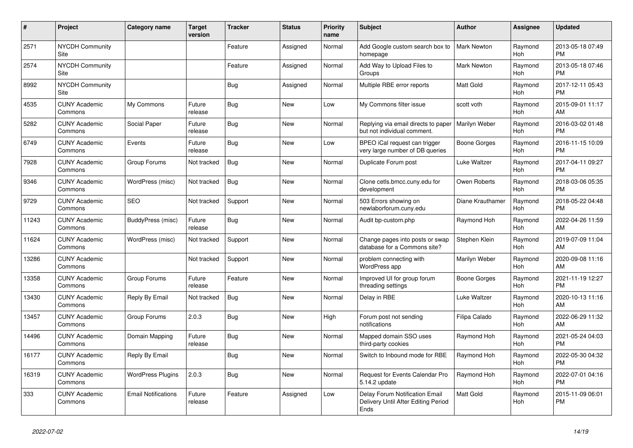| #     | Project                         | <b>Category name</b>       | <b>Target</b><br>version | <b>Tracker</b> | <b>Status</b> | <b>Priority</b><br>name | <b>Subject</b>                                                                | <b>Author</b>      | Assignee              | <b>Updated</b>                |
|-------|---------------------------------|----------------------------|--------------------------|----------------|---------------|-------------------------|-------------------------------------------------------------------------------|--------------------|-----------------------|-------------------------------|
| 2571  | <b>NYCDH Community</b><br>Site  |                            |                          | Feature        | Assigned      | Normal                  | Add Google custom search box to<br>homepage                                   | <b>Mark Newton</b> | Raymond<br>Hoh        | 2013-05-18 07:49<br><b>PM</b> |
| 2574  | <b>NYCDH Community</b><br>Site  |                            |                          | Feature        | Assigned      | Normal                  | Add Way to Upload Files to<br>Groups                                          | <b>Mark Newton</b> | Raymond<br>Hoh        | 2013-05-18 07:46<br><b>PM</b> |
| 8992  | <b>NYCDH Community</b><br>Site  |                            |                          | <b>Bug</b>     | Assigned      | Normal                  | Multiple RBE error reports                                                    | Matt Gold          | Raymond<br>Hoh        | 2017-12-11 05:43<br><b>PM</b> |
| 4535  | <b>CUNY Academic</b><br>Commons | My Commons                 | Future<br>release        | Bug            | <b>New</b>    | Low                     | My Commons filter issue                                                       | scott voth         | Raymond<br>Hoh        | 2015-09-01 11:17<br>AM        |
| 5282  | <b>CUNY Academic</b><br>Commons | Social Paper               | Future<br>release        | Bug            | New           | Normal                  | Replying via email directs to paper<br>but not individual comment.            | Marilyn Weber      | Raymond<br>Hoh        | 2016-03-02 01:48<br><b>PM</b> |
| 6749  | <b>CUNY Academic</b><br>Commons | Events                     | Future<br>release        | Bug            | New           | Low                     | BPEO iCal request can trigger<br>very large number of DB queries              | Boone Gorges       | Raymond<br>Hoh        | 2016-11-15 10:09<br><b>PM</b> |
| 7928  | <b>CUNY Academic</b><br>Commons | Group Forums               | Not tracked              | <b>Bug</b>     | <b>New</b>    | Normal                  | Duplicate Forum post                                                          | Luke Waltzer       | Raymond<br>Hoh        | 2017-04-11 09:27<br><b>PM</b> |
| 9346  | <b>CUNY Academic</b><br>Commons | WordPress (misc)           | Not tracked              | Bug            | New           | Normal                  | Clone cetls.bmcc.cuny.edu for<br>development                                  | Owen Roberts       | Raymond<br><b>Hoh</b> | 2018-03-06 05:35<br><b>PM</b> |
| 9729  | <b>CUNY Academic</b><br>Commons | <b>SEO</b>                 | Not tracked              | Support        | <b>New</b>    | Normal                  | 503 Errors showing on<br>newlaborforum.cuny.edu                               | Diane Krauthamer   | Raymond<br>Hoh        | 2018-05-22 04:48<br><b>PM</b> |
| 11243 | <b>CUNY Academic</b><br>Commons | BuddyPress (misc)          | Future<br>release        | Bug            | <b>New</b>    | Normal                  | Audit bp-custom.php                                                           | Raymond Hoh        | Raymond<br>Hoh        | 2022-04-26 11:59<br>AM        |
| 11624 | <b>CUNY Academic</b><br>Commons | WordPress (misc)           | Not tracked              | Support        | New           | Normal                  | Change pages into posts or swap<br>database for a Commons site?               | Stephen Klein      | Raymond<br>Hoh        | 2019-07-09 11:04<br>AM        |
| 13286 | <b>CUNY Academic</b><br>Commons |                            | Not tracked              | Support        | New           | Normal                  | problem connecting with<br>WordPress app                                      | Marilyn Weber      | Raymond<br>Hoh        | 2020-09-08 11:16<br>AM        |
| 13358 | <b>CUNY Academic</b><br>Commons | Group Forums               | Future<br>release        | Feature        | <b>New</b>    | Normal                  | Improved UI for group forum<br>threading settings                             | Boone Gorges       | Raymond<br>Hoh        | 2021-11-19 12:27<br><b>PM</b> |
| 13430 | <b>CUNY Academic</b><br>Commons | Reply By Email             | Not tracked              | Bug            | <b>New</b>    | Normal                  | Delav in RBE                                                                  | Luke Waltzer       | Raymond<br>Hoh        | 2020-10-13 11:16<br>AM        |
| 13457 | <b>CUNY Academic</b><br>Commons | Group Forums               | 2.0.3                    | Bug            | New           | High                    | Forum post not sending<br>notifications                                       | Filipa Calado      | Raymond<br>Hoh        | 2022-06-29 11:32<br>AM        |
| 14496 | <b>CUNY Academic</b><br>Commons | Domain Mapping             | Future<br>release        | Bug            | New           | Normal                  | Mapped domain SSO uses<br>third-party cookies                                 | Raymond Hoh        | Raymond<br>Hoh        | 2021-05-24 04:03<br><b>PM</b> |
| 16177 | <b>CUNY Academic</b><br>Commons | Reply By Email             |                          | Bug            | <b>New</b>    | Normal                  | Switch to Inbound mode for RBE                                                | Raymond Hoh        | Raymond<br>Hoh        | 2022-05-30 04:32<br><b>PM</b> |
| 16319 | <b>CUNY Academic</b><br>Commons | <b>WordPress Plugins</b>   | 2.0.3                    | Bug            | <b>New</b>    | Normal                  | Request for Events Calendar Pro<br>5.14.2 update                              | Raymond Hoh        | Raymond<br>Hoh        | 2022-07-01 04:16<br><b>PM</b> |
| 333   | <b>CUNY Academic</b><br>Commons | <b>Email Notifications</b> | Future<br>release        | Feature        | Assigned      | Low                     | Delay Forum Notification Email<br>Delivery Until After Editing Period<br>Ends | Matt Gold          | Raymond<br>Hoh        | 2015-11-09 06:01<br><b>PM</b> |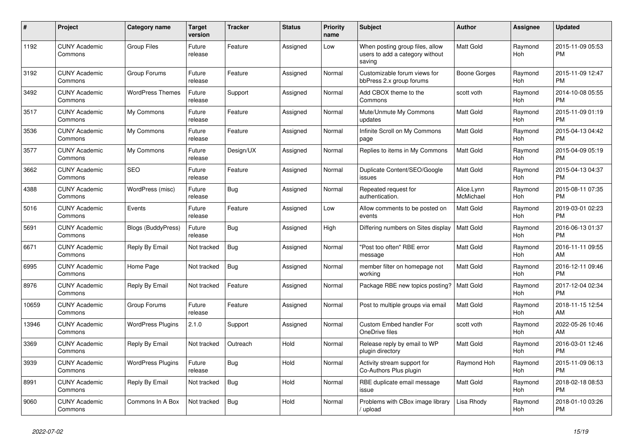| #     | <b>Project</b>                  | Category name            | <b>Target</b><br>version | <b>Tracker</b> | <b>Status</b> | Priority<br>name | <b>Subject</b>                                                               | <b>Author</b>           | Assignee              | <b>Updated</b>                |
|-------|---------------------------------|--------------------------|--------------------------|----------------|---------------|------------------|------------------------------------------------------------------------------|-------------------------|-----------------------|-------------------------------|
| 1192  | <b>CUNY Academic</b><br>Commons | <b>Group Files</b>       | Future<br>release        | Feature        | Assigned      | Low              | When posting group files, allow<br>users to add a category without<br>saving | Matt Gold               | Raymond<br><b>Hoh</b> | 2015-11-09 05:53<br><b>PM</b> |
| 3192  | <b>CUNY Academic</b><br>Commons | Group Forums             | Future<br>release        | Feature        | Assigned      | Normal           | Customizable forum views for<br>bbPress 2.x group forums                     | <b>Boone Gorges</b>     | Raymond<br>Hoh        | 2015-11-09 12:47<br><b>PM</b> |
| 3492  | <b>CUNY Academic</b><br>Commons | <b>WordPress Themes</b>  | Future<br>release        | Support        | Assigned      | Normal           | Add CBOX theme to the<br>Commons                                             | scott voth              | Raymond<br>Hoh        | 2014-10-08 05:55<br><b>PM</b> |
| 3517  | <b>CUNY Academic</b><br>Commons | My Commons               | Future<br>release        | Feature        | Assigned      | Normal           | Mute/Unmute My Commons<br>updates                                            | <b>Matt Gold</b>        | Raymond<br>Hoh        | 2015-11-09 01:19<br><b>PM</b> |
| 3536  | <b>CUNY Academic</b><br>Commons | My Commons               | Future<br>release        | Feature        | Assigned      | Normal           | Infinite Scroll on My Commons<br>page                                        | <b>Matt Gold</b>        | Raymond<br>Hoh        | 2015-04-13 04:42<br><b>PM</b> |
| 3577  | <b>CUNY Academic</b><br>Commons | My Commons               | Future<br>release        | Design/UX      | Assigned      | Normal           | Replies to items in My Commons                                               | <b>Matt Gold</b>        | Raymond<br>Hoh        | 2015-04-09 05:19<br><b>PM</b> |
| 3662  | <b>CUNY Academic</b><br>Commons | <b>SEO</b>               | Future<br>release        | Feature        | Assigned      | Normal           | Duplicate Content/SEO/Google<br>issues                                       | <b>Matt Gold</b>        | Raymond<br>Hoh        | 2015-04-13 04:37<br><b>PM</b> |
| 4388  | <b>CUNY Academic</b><br>Commons | WordPress (misc)         | Future<br>release        | Bug            | Assigned      | Normal           | Repeated request for<br>authentication.                                      | Alice.Lynn<br>McMichael | Raymond<br>Hoh        | 2015-08-11 07:35<br><b>PM</b> |
| 5016  | <b>CUNY Academic</b><br>Commons | Events                   | Future<br>release        | Feature        | Assigned      | Low              | Allow comments to be posted on<br>events                                     | <b>Matt Gold</b>        | Raymond<br>Hoh        | 2019-03-01 02:23<br><b>PM</b> |
| 5691  | <b>CUNY Academic</b><br>Commons | Blogs (BuddyPress)       | Future<br>release        | <b>Bug</b>     | Assigned      | High             | Differing numbers on Sites display                                           | <b>Matt Gold</b>        | Raymond<br>Hoh        | 2016-06-13 01:37<br><b>PM</b> |
| 6671  | <b>CUNY Academic</b><br>Commons | Reply By Email           | Not tracked              | Bug            | Assigned      | Normal           | "Post too often" RBE error<br>message                                        | <b>Matt Gold</b>        | Raymond<br>Hoh        | 2016-11-11 09:55<br>AM        |
| 6995  | <b>CUNY Academic</b><br>Commons | Home Page                | Not tracked              | Bug            | Assigned      | Normal           | member filter on homepage not<br>working                                     | <b>Matt Gold</b>        | Raymond<br>Hoh        | 2016-12-11 09:46<br><b>PM</b> |
| 8976  | <b>CUNY Academic</b><br>Commons | Reply By Email           | Not tracked              | Feature        | Assigned      | Normal           | Package RBE new topics posting?                                              | l Matt Gold             | Raymond<br>Hoh        | 2017-12-04 02:34<br><b>PM</b> |
| 10659 | <b>CUNY Academic</b><br>Commons | Group Forums             | Future<br>release        | Feature        | Assigned      | Normal           | Post to multiple groups via email                                            | <b>Matt Gold</b>        | Raymond<br>Hoh        | 2018-11-15 12:54<br>AM        |
| 13946 | <b>CUNY Academic</b><br>Commons | <b>WordPress Plugins</b> | 2.1.0                    | Support        | Assigned      | Normal           | Custom Embed handler For<br>OneDrive files                                   | scott voth              | Raymond<br>Hoh        | 2022-05-26 10:46<br>AM        |
| 3369  | <b>CUNY Academic</b><br>Commons | Reply By Email           | Not tracked              | Outreach       | Hold          | Normal           | Release reply by email to WP<br>plugin directory                             | <b>Matt Gold</b>        | Raymond<br>Hoh        | 2016-03-01 12:46<br><b>PM</b> |
| 3939  | <b>CUNY Academic</b><br>Commons | <b>WordPress Plugins</b> | Future<br>release        | Bug            | Hold          | Normal           | Activity stream support for<br>Co-Authors Plus plugin                        | Raymond Hoh             | Raymond<br>Hoh        | 2015-11-09 06:13<br><b>PM</b> |
| 8991  | <b>CUNY Academic</b><br>Commons | Reply By Email           | Not tracked              | <b>Bug</b>     | Hold          | Normal           | RBE duplicate email message<br>issue                                         | <b>Matt Gold</b>        | Raymond<br>Hoh        | 2018-02-18 08:53<br><b>PM</b> |
| 9060  | <b>CUNY Academic</b><br>Commons | Commons In A Box         | Not tracked              | <b>Bug</b>     | Hold          | Normal           | Problems with CBox image library<br>/ upload                                 | Lisa Rhody              | Raymond<br>Hoh        | 2018-01-10 03:26<br><b>PM</b> |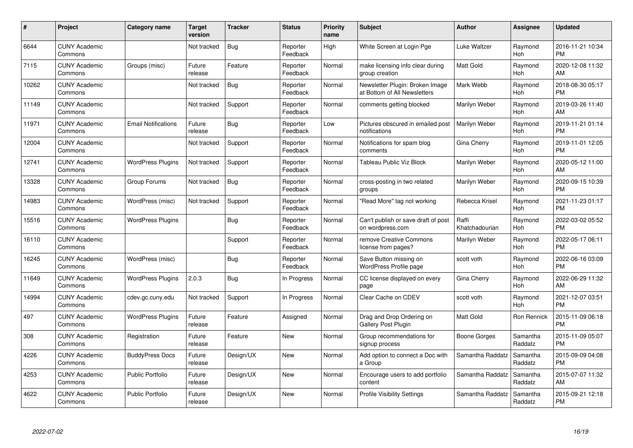| #     | Project                         | <b>Category name</b>       | <b>Target</b><br>version | <b>Tracker</b> | <b>Status</b>        | <b>Priority</b><br>name | <b>Subject</b>                                                  | <b>Author</b>           | <b>Assignee</b>     | <b>Updated</b>                |
|-------|---------------------------------|----------------------------|--------------------------|----------------|----------------------|-------------------------|-----------------------------------------------------------------|-------------------------|---------------------|-------------------------------|
| 6644  | <b>CUNY Academic</b><br>Commons |                            | Not tracked              | Bug            | Reporter<br>Feedback | High                    | White Screen at Login Pge                                       | Luke Waltzer            | Raymond<br>Hoh      | 2016-11-21 10:34<br><b>PM</b> |
| 7115  | <b>CUNY Academic</b><br>Commons | Groups (misc)              | Future<br>release        | Feature        | Reporter<br>Feedback | Normal                  | make licensing info clear during<br>group creation              | <b>Matt Gold</b>        | Raymond<br>Hoh      | 2020-12-08 11:32<br>AM        |
| 10262 | <b>CUNY Academic</b><br>Commons |                            | Not tracked              | <b>Bug</b>     | Reporter<br>Feedback | Normal                  | Newsletter Plugin: Broken Image<br>at Bottom of All Newsletters | Mark Webb               | Raymond<br>Hoh      | 2018-08-30 05:17<br><b>PM</b> |
| 11149 | <b>CUNY Academic</b><br>Commons |                            | Not tracked              | Support        | Reporter<br>Feedback | Normal                  | comments getting blocked                                        | Marilyn Weber           | Raymond<br>Hoh      | 2019-03-26 11:40<br>AM        |
| 11971 | <b>CUNY Academic</b><br>Commons | <b>Email Notifications</b> | Future<br>release        | Bug            | Reporter<br>Feedback | Low                     | Pictures obscured in emailed post<br>notifications              | Marilyn Weber           | Raymond<br>Hoh      | 2019-11-21 01:14<br><b>PM</b> |
| 12004 | <b>CUNY Academic</b><br>Commons |                            | Not tracked              | Support        | Reporter<br>Feedback | Normal                  | Notifications for spam blog<br>comments                         | Gina Cherry             | Raymond<br>Hoh      | 2019-11-01 12:05<br><b>PM</b> |
| 12741 | <b>CUNY Academic</b><br>Commons | <b>WordPress Plugins</b>   | Not tracked              | Support        | Reporter<br>Feedback | Normal                  | Tableau Public Viz Block                                        | Marilyn Weber           | Raymond<br>Hoh      | 2020-05-12 11:00<br>AM        |
| 13328 | <b>CUNY Academic</b><br>Commons | Group Forums               | Not tracked              | <b>Bug</b>     | Reporter<br>Feedback | Normal                  | cross-posting in two related<br>groups                          | Marilyn Weber           | Raymond<br>Hoh      | 2020-09-15 10:39<br><b>PM</b> |
| 14983 | <b>CUNY Academic</b><br>Commons | WordPress (misc)           | Not tracked              | Support        | Reporter<br>Feedback | Normal                  | "Read More" tag not working                                     | Rebecca Krisel          | Raymond<br>Hoh      | 2021-11-23 01:17<br><b>PM</b> |
| 15516 | <b>CUNY Academic</b><br>Commons | <b>WordPress Plugins</b>   |                          | Bug            | Reporter<br>Feedback | Normal                  | Can't publish or save draft of post<br>on wordpress.com         | Raffi<br>Khatchadourian | Raymond<br>Hoh      | 2022-03-02 05:52<br><b>PM</b> |
| 16110 | <b>CUNY Academic</b><br>Commons |                            |                          | Support        | Reporter<br>Feedback | Normal                  | remove Creative Commons<br>license from pages?                  | Marilyn Weber           | Raymond<br>Hoh      | 2022-05-17 06:11<br><b>PM</b> |
| 16245 | <b>CUNY Academic</b><br>Commons | WordPress (misc)           |                          | Bug            | Reporter<br>Feedback | Normal                  | Save Button missing on<br>WordPress Profile page                | scott voth              | Raymond<br>Hoh      | 2022-06-16 03:09<br><b>PM</b> |
| 11649 | <b>CUNY Academic</b><br>Commons | <b>WordPress Plugins</b>   | 2.0.3                    | Bug            | In Progress          | Normal                  | CC license displayed on every<br>page                           | Gina Cherry             | Raymond<br>Hoh      | 2022-06-29 11:32<br>AM        |
| 14994 | <b>CUNY Academic</b><br>Commons | cdev.gc.cuny.edu           | Not tracked              | Support        | In Progress          | Normal                  | Clear Cache on CDEV                                             | scott voth              | Raymond<br>Hoh      | 2021-12-07 03:51<br><b>PM</b> |
| 497   | <b>CUNY Academic</b><br>Commons | <b>WordPress Plugins</b>   | Future<br>release        | Feature        | Assigned             | Normal                  | Drag and Drop Ordering on<br>Gallery Post Plugin                | <b>Matt Gold</b>        | Ron Rennick         | 2015-11-09 06:18<br><b>PM</b> |
| 308   | <b>CUNY Academic</b><br>Commons | Registration               | Future<br>release        | Feature        | New                  | Normal                  | Group recommendations for<br>signup process                     | Boone Gorges            | Samantha<br>Raddatz | 2015-11-09 05:07<br><b>PM</b> |
| 4226  | <b>CUNY Academic</b><br>Commons | <b>BuddyPress Docs</b>     | Future<br>release        | Design/UX      | New                  | Normal                  | Add option to connect a Doc with<br>a Group                     | Samantha Raddatz        | Samantha<br>Raddatz | 2015-09-09 04:08<br><b>PM</b> |
| 4253  | <b>CUNY Academic</b><br>Commons | <b>Public Portfolio</b>    | Future<br>release        | Design/UX      | New                  | Normal                  | Encourage users to add portfolio<br>content                     | Samantha Raddatz        | Samantha<br>Raddatz | 2015-07-07 11:32<br>AM        |
| 4622  | <b>CUNY Academic</b><br>Commons | <b>Public Portfolio</b>    | Future<br>release        | Design/UX      | <b>New</b>           | Normal                  | <b>Profile Visibility Settings</b>                              | Samantha Raddatz        | Samantha<br>Raddatz | 2015-09-21 12:18<br><b>PM</b> |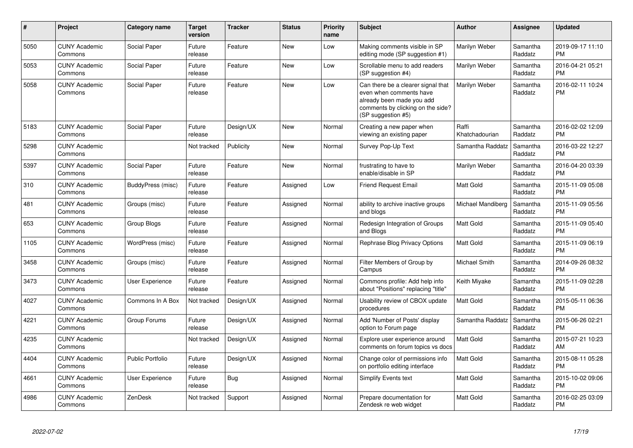| $\#$ | <b>Project</b>                  | Category name           | <b>Target</b><br>version | <b>Tracker</b> | <b>Status</b> | <b>Priority</b><br>name | <b>Subject</b>                                                                                                                                        | Author                  | Assignee            | <b>Updated</b>                |
|------|---------------------------------|-------------------------|--------------------------|----------------|---------------|-------------------------|-------------------------------------------------------------------------------------------------------------------------------------------------------|-------------------------|---------------------|-------------------------------|
| 5050 | <b>CUNY Academic</b><br>Commons | Social Paper            | Future<br>release        | Feature        | <b>New</b>    | Low                     | Making comments visible in SP<br>editing mode (SP suggestion #1)                                                                                      | Marilyn Weber           | Samantha<br>Raddatz | 2019-09-17 11:10<br><b>PM</b> |
| 5053 | <b>CUNY Academic</b><br>Commons | Social Paper            | Future<br>release        | Feature        | <b>New</b>    | Low                     | Scrollable menu to add readers<br>(SP suggestion #4)                                                                                                  | Marilyn Weber           | Samantha<br>Raddatz | 2016-04-21 05:21<br><b>PM</b> |
| 5058 | <b>CUNY Academic</b><br>Commons | Social Paper            | Future<br>release        | Feature        | <b>New</b>    | Low                     | Can there be a clearer signal that<br>even when comments have<br>already been made you add<br>comments by clicking on the side?<br>(SP suggestion #5) | Marilyn Weber           | Samantha<br>Raddatz | 2016-02-11 10:24<br><b>PM</b> |
| 5183 | <b>CUNY Academic</b><br>Commons | Social Paper            | Future<br>release        | Design/UX      | <b>New</b>    | Normal                  | Creating a new paper when<br>viewing an existing paper                                                                                                | Raffi<br>Khatchadourian | Samantha<br>Raddatz | 2016-02-02 12:09<br><b>PM</b> |
| 5298 | <b>CUNY Academic</b><br>Commons |                         | Not tracked              | Publicity      | <b>New</b>    | Normal                  | Survey Pop-Up Text                                                                                                                                    | Samantha Raddatz        | Samantha<br>Raddatz | 2016-03-22 12:27<br><b>PM</b> |
| 5397 | <b>CUNY Academic</b><br>Commons | Social Paper            | Future<br>release        | Feature        | <b>New</b>    | Normal                  | frustrating to have to<br>enable/disable in SP                                                                                                        | Marilyn Weber           | Samantha<br>Raddatz | 2016-04-20 03:39<br><b>PM</b> |
| 310  | <b>CUNY Academic</b><br>Commons | BuddyPress (misc)       | Future<br>release        | Feature        | Assigned      | Low                     | <b>Friend Request Email</b>                                                                                                                           | <b>Matt Gold</b>        | Samantha<br>Raddatz | 2015-11-09 05:08<br><b>PM</b> |
| 481  | <b>CUNY Academic</b><br>Commons | Groups (misc)           | Future<br>release        | Feature        | Assigned      | Normal                  | ability to archive inactive groups<br>and blogs                                                                                                       | Michael Mandiberg       | Samantha<br>Raddatz | 2015-11-09 05:56<br><b>PM</b> |
| 653  | <b>CUNY Academic</b><br>Commons | Group Blogs             | Future<br>release        | Feature        | Assigned      | Normal                  | Redesign Integration of Groups<br>and Blogs                                                                                                           | <b>Matt Gold</b>        | Samantha<br>Raddatz | 2015-11-09 05:40<br><b>PM</b> |
| 1105 | <b>CUNY Academic</b><br>Commons | WordPress (misc)        | Future<br>release        | Feature        | Assigned      | Normal                  | Rephrase Blog Privacy Options                                                                                                                         | <b>Matt Gold</b>        | Samantha<br>Raddatz | 2015-11-09 06:19<br><b>PM</b> |
| 3458 | <b>CUNY Academic</b><br>Commons | Groups (misc)           | Future<br>release        | Feature        | Assigned      | Normal                  | Filter Members of Group by<br>Campus                                                                                                                  | <b>Michael Smith</b>    | Samantha<br>Raddatz | 2014-09-26 08:32<br><b>PM</b> |
| 3473 | <b>CUNY Academic</b><br>Commons | User Experience         | Future<br>release        | Feature        | Assigned      | Normal                  | Commons profile: Add help info<br>about "Positions" replacing "title"                                                                                 | Keith Miyake            | Samantha<br>Raddatz | 2015-11-09 02:28<br><b>PM</b> |
| 4027 | <b>CUNY Academic</b><br>Commons | Commons In A Box        | Not tracked              | Design/UX      | Assigned      | Normal                  | Usability review of CBOX update<br>procedures                                                                                                         | <b>Matt Gold</b>        | Samantha<br>Raddatz | 2015-05-11 06:36<br><b>PM</b> |
| 4221 | <b>CUNY Academic</b><br>Commons | Group Forums            | Future<br>release        | Design/UX      | Assigned      | Normal                  | Add 'Number of Posts' display<br>option to Forum page                                                                                                 | Samantha Raddatz        | Samantha<br>Raddatz | 2015-06-26 02:21<br><b>PM</b> |
| 4235 | <b>CUNY Academic</b><br>Commons |                         | Not tracked              | Design/UX      | Assigned      | Normal                  | Explore user experience around<br>comments on forum topics vs docs                                                                                    | <b>Matt Gold</b>        | Samantha<br>Raddatz | 2015-07-21 10:23<br>AM        |
| 4404 | <b>CUNY Academic</b><br>Commons | <b>Public Portfolio</b> | Future<br>release        | Design/UX      | Assigned      | Normal                  | Change color of permissions info<br>on portfolio editing interface                                                                                    | <b>Matt Gold</b>        | Samantha<br>Raddatz | 2015-08-11 05:28<br><b>PM</b> |
| 4661 | <b>CUNY Academic</b><br>Commons | User Experience         | Future<br>release        | Bug            | Assigned      | Normal                  | <b>Simplify Events text</b>                                                                                                                           | <b>Matt Gold</b>        | Samantha<br>Raddatz | 2015-10-02 09:06<br><b>PM</b> |
| 4986 | <b>CUNY Academic</b><br>Commons | ZenDesk                 | Not tracked              | Support        | Assigned      | Normal                  | Prepare documentation for<br>Zendesk re web widget                                                                                                    | <b>Matt Gold</b>        | Samantha<br>Raddatz | 2016-02-25 03:09<br><b>PM</b> |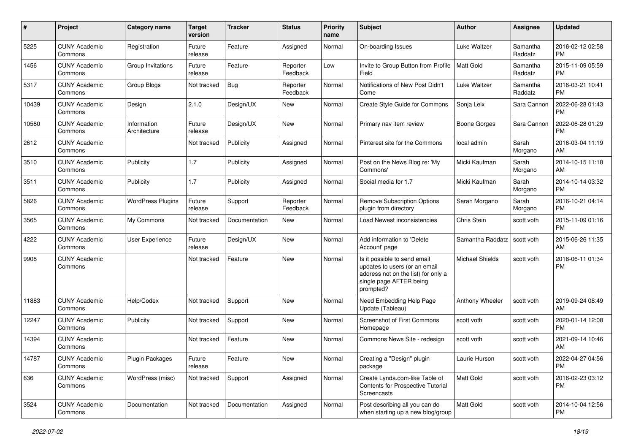| #     | Project                         | <b>Category name</b>        | <b>Target</b><br>version | <b>Tracker</b> | <b>Status</b>        | Priority<br>name | Subject                                                                                                                                      | <b>Author</b>          | <b>Assignee</b>     | <b>Updated</b>                |
|-------|---------------------------------|-----------------------------|--------------------------|----------------|----------------------|------------------|----------------------------------------------------------------------------------------------------------------------------------------------|------------------------|---------------------|-------------------------------|
| 5225  | <b>CUNY Academic</b><br>Commons | Registration                | Future<br>release        | Feature        | Assigned             | Normal           | On-boarding Issues                                                                                                                           | Luke Waltzer           | Samantha<br>Raddatz | 2016-02-12 02:58<br><b>PM</b> |
| 1456  | <b>CUNY Academic</b><br>Commons | Group Invitations           | Future<br>release        | Feature        | Reporter<br>Feedback | Low              | Invite to Group Button from Profile<br>Field                                                                                                 | l Matt Gold            | Samantha<br>Raddatz | 2015-11-09 05:59<br><b>PM</b> |
| 5317  | <b>CUNY Academic</b><br>Commons | Group Blogs                 | Not tracked              | Bug            | Reporter<br>Feedback | Normal           | Notifications of New Post Didn't<br>Come                                                                                                     | Luke Waltzer           | Samantha<br>Raddatz | 2016-03-21 10:41<br><b>PM</b> |
| 10439 | <b>CUNY Academic</b><br>Commons | Design                      | 2.1.0                    | Design/UX      | New                  | Normal           | Create Style Guide for Commons                                                                                                               | Sonja Leix             | Sara Cannon         | 2022-06-28 01:43<br><b>PM</b> |
| 10580 | <b>CUNY Academic</b><br>Commons | Information<br>Architecture | Future<br>release        | Design/UX      | <b>New</b>           | Normal           | Primary nav item review                                                                                                                      | Boone Gorges           | Sara Cannon         | 2022-06-28 01:29<br><b>PM</b> |
| 2612  | <b>CUNY Academic</b><br>Commons |                             | Not tracked              | Publicity      | Assigned             | Normal           | Pinterest site for the Commons                                                                                                               | local admin            | Sarah<br>Morgano    | 2016-03-04 11:19<br>AM        |
| 3510  | <b>CUNY Academic</b><br>Commons | Publicity                   | 1.7                      | Publicity      | Assigned             | Normal           | Post on the News Blog re: 'My<br>Commons'                                                                                                    | Micki Kaufman          | Sarah<br>Morgano    | 2014-10-15 11:18<br>AM        |
| 3511  | <b>CUNY Academic</b><br>Commons | Publicity                   | 1.7                      | Publicity      | Assigned             | Normal           | Social media for 1.7                                                                                                                         | Micki Kaufman          | Sarah<br>Morgano    | 2014-10-14 03:32<br><b>PM</b> |
| 5826  | <b>CUNY Academic</b><br>Commons | <b>WordPress Plugins</b>    | Future<br>release        | Support        | Reporter<br>Feedback | Normal           | <b>Remove Subscription Options</b><br>plugin from directory                                                                                  | Sarah Morgano          | Sarah<br>Morgano    | 2016-10-21 04:14<br><b>PM</b> |
| 3565  | <b>CUNY Academic</b><br>Commons | My Commons                  | Not tracked              | Documentation  | New                  | Normal           | Load Newest inconsistencies                                                                                                                  | Chris Stein            | scott voth          | 2015-11-09 01:16<br><b>PM</b> |
| 4222  | <b>CUNY Academic</b><br>Commons | User Experience             | Future<br>release        | Design/UX      | <b>New</b>           | Normal           | Add information to 'Delete<br>Account' page                                                                                                  | Samantha Raddatz       | scott voth          | 2015-06-26 11:35<br>AM        |
| 9908  | <b>CUNY Academic</b><br>Commons |                             | Not tracked              | Feature        | <b>New</b>           | Normal           | Is it possible to send email<br>updates to users (or an email<br>address not on the list) for only a<br>single page AFTER being<br>prompted? | <b>Michael Shields</b> | scott voth          | 2018-06-11 01:34<br><b>PM</b> |
| 11883 | <b>CUNY Academic</b><br>Commons | Help/Codex                  | Not tracked              | Support        | New                  | Normal           | Need Embedding Help Page<br>Update (Tableau)                                                                                                 | Anthony Wheeler        | scott voth          | 2019-09-24 08:49<br>AM        |
| 12247 | <b>CUNY Academic</b><br>Commons | Publicity                   | Not tracked              | Support        | New                  | Normal           | Screenshot of First Commons<br>Homepage                                                                                                      | scott voth             | scott voth          | 2020-01-14 12:08<br><b>PM</b> |
| 14394 | <b>CUNY Academic</b><br>Commons |                             | Not tracked              | Feature        | <b>New</b>           | Normal           | Commons News Site - redesign                                                                                                                 | scott voth             | scott voth          | 2021-09-14 10:46<br>AM        |
| 14787 | <b>CUNY Academic</b><br>Commons | <b>Plugin Packages</b>      | Future<br>release        | Feature        | New                  | Normal           | Creating a "Design" plugin<br>package                                                                                                        | Laurie Hurson          | scott voth          | 2022-04-27 04:56<br><b>PM</b> |
| 636   | <b>CUNY Academic</b><br>Commons | WordPress (misc)            | Not tracked              | Support        | Assigned             | Normal           | Create Lynda.com-like Table of<br>Contents for Prospective Tutorial<br>Screencasts                                                           | <b>Matt Gold</b>       | scott voth          | 2016-02-23 03:12<br><b>PM</b> |
| 3524  | <b>CUNY Academic</b><br>Commons | Documentation               | Not tracked              | Documentation  | Assigned             | Normal           | Post describing all you can do<br>when starting up a new blog/group                                                                          | Matt Gold              | scott voth          | 2014-10-04 12:56<br><b>PM</b> |